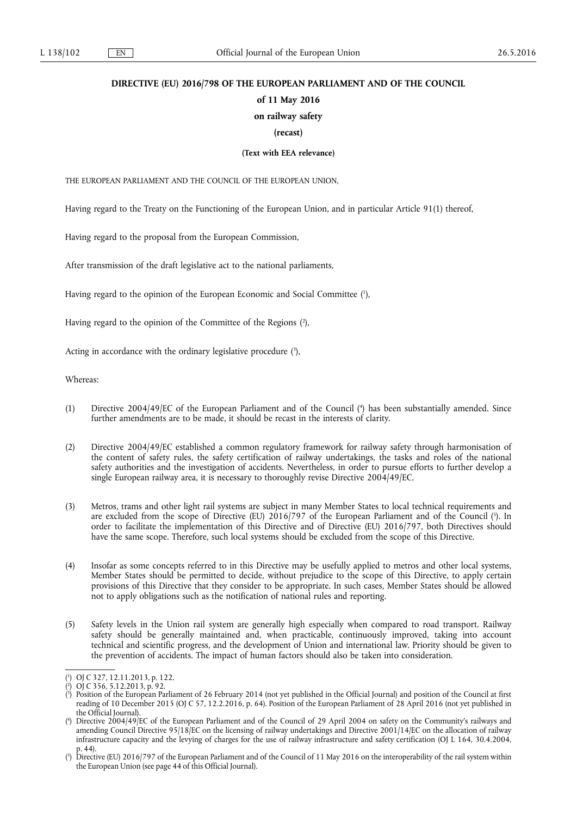# **DIRECTIVE (EU) 2016/798 OF THE EUROPEAN PARLIAMENT AND OF THE COUNCIL**

# **of 11 May 2016**

# **on railway safety**

## **(recast)**

## **(Text with EEA relevance)**

THE EUROPEAN PARLIAMENT AND THE COUNCIL OF THE EUROPEAN UNION,

Having regard to the Treaty on the Functioning of the European Union, and in particular Article 91(1) thereof,

Having regard to the proposal from the European Commission,

After transmission of the draft legislative act to the national parliaments,

Having regard to the opinion of the European Economic and Social Committee ( 1 ),

Having regard to the opinion of the Committee of the Regions ( 2 ),

Acting in accordance with the ordinary legislative procedure (3),

Whereas:

- (1) Directive 2004/49/EC of the European Parliament and of the Council ( 4 ) has been substantially amended. Since further amendments are to be made, it should be recast in the interests of clarity.
- (2) Directive 2004/49/EC established a common regulatory framework for railway safety through harmonisation of the content of safety rules, the safety certification of railway undertakings, the tasks and roles of the national safety authorities and the investigation of accidents. Nevertheless, in order to pursue efforts to further develop a single European railway area, it is necessary to thoroughly revise Directive 2004/49/EC.
- (3) Metros, trams and other light rail systems are subject in many Member States to local technical requirements and are excluded from the scope of Directive (EU) 2016/797 of the European Parliament and of the Council ( 5 ). In order to facilitate the implementation of this Directive and of Directive (EU) 2016/797, both Directives should have the same scope. Therefore, such local systems should be excluded from the scope of this Directive.
- (4) Insofar as some concepts referred to in this Directive may be usefully applied to metros and other local systems, Member States should be permitted to decide, without prejudice to the scope of this Directive, to apply certain provisions of this Directive that they consider to be appropriate. In such cases, Member States should be allowed not to apply obligations such as the notification of national rules and reporting.
- (5) Safety levels in the Union rail system are generally high especially when compared to road transport. Railway safety should be generally maintained and, when practicable, continuously improved, taking into account technical and scientific progress, and the development of Union and international law. Priority should be given to the prevention of accidents. The impact of human factors should also be taken into consideration.

<sup>(</sup> 1 ) OJ C 327, 12.11.2013, p. 122.

<sup>(</sup> 2 ) OJ C 356, 5.12.2013, p. 92.

<sup>(</sup> 3 ) Position of the European Parliament of 26 February 2014 (not yet published in the Official Journal) and position of the Council at first reading of 10 December 2015 (OJ C 57, 12.2.2016, p. 64). Position of the European Parliament of 28 April 2016 (not yet published in the Official Journal).

<sup>(</sup> 4 ) Directive 2004/49/EC of the European Parliament and of the Council of 29 April 2004 on safety on the Community's railways and amending Council Directive 95/18/EC on the licensing of railway undertakings and Directive 2001/14/EC on the allocation of railway infrastructure capacity and the levying of charges for the use of railway infrastructure and safety certification (OJ L 164, 30.4.2004, p. 44).

<sup>(</sup> 5 ) Directive (EU) 2016/797 of the European Parliament and of the Council of 11 May 2016 on the interoperability of the rail system within the European Union (see page 44 of this Official Journal).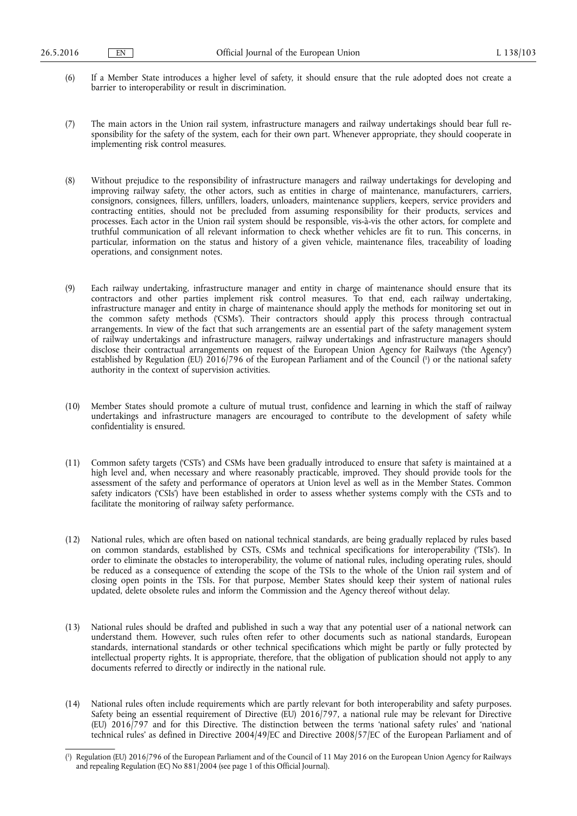- (6) If a Member State introduces a higher level of safety, it should ensure that the rule adopted does not create a barrier to interoperability or result in discrimination.
- (7) The main actors in the Union rail system, infrastructure managers and railway undertakings should bear full responsibility for the safety of the system, each for their own part. Whenever appropriate, they should cooperate in implementing risk control measures.
- (8) Without prejudice to the responsibility of infrastructure managers and railway undertakings for developing and improving railway safety, the other actors, such as entities in charge of maintenance, manufacturers, carriers, consignors, consignees, fillers, unfillers, loaders, unloaders, maintenance suppliers, keepers, service providers and contracting entities, should not be precluded from assuming responsibility for their products, services and processes. Each actor in the Union rail system should be responsible, vis-à-vis the other actors, for complete and truthful communication of all relevant information to check whether vehicles are fit to run. This concerns, in particular, information on the status and history of a given vehicle, maintenance files, traceability of loading operations, and consignment notes.
- (9) Each railway undertaking, infrastructure manager and entity in charge of maintenance should ensure that its contractors and other parties implement risk control measures. To that end, each railway undertaking, infrastructure manager and entity in charge of maintenance should apply the methods for monitoring set out in the common safety methods ('CSMs'). Their contractors should apply this process through contractual arrangements. In view of the fact that such arrangements are an essential part of the safety management system of railway undertakings and infrastructure managers, railway undertakings and infrastructure managers should disclose their contractual arrangements on request of the European Union Agency for Railways ('the Agency') established by Regulation (EU) 2016/796 of the European Parliament and of the Council ( 1 ) or the national safety authority in the context of supervision activities.
- (10) Member States should promote a culture of mutual trust, confidence and learning in which the staff of railway undertakings and infrastructure managers are encouraged to contribute to the development of safety while confidentiality is ensured.
- (11) Common safety targets ('CSTs') and CSMs have been gradually introduced to ensure that safety is maintained at a high level and, when necessary and where reasonably practicable, improved. They should provide tools for the assessment of the safety and performance of operators at Union level as well as in the Member States. Common safety indicators ('CSIs') have been established in order to assess whether systems comply with the CSTs and to facilitate the monitoring of railway safety performance.
- (12) National rules, which are often based on national technical standards, are being gradually replaced by rules based on common standards, established by CSTs, CSMs and technical specifications for interoperability ('TSIs'). In order to eliminate the obstacles to interoperability, the volume of national rules, including operating rules, should be reduced as a consequence of extending the scope of the TSIs to the whole of the Union rail system and of closing open points in the TSIs. For that purpose, Member States should keep their system of national rules updated, delete obsolete rules and inform the Commission and the Agency thereof without delay.
- (13) National rules should be drafted and published in such a way that any potential user of a national network can understand them. However, such rules often refer to other documents such as national standards, European standards, international standards or other technical specifications which might be partly or fully protected by intellectual property rights. It is appropriate, therefore, that the obligation of publication should not apply to any documents referred to directly or indirectly in the national rule.
- (14) National rules often include requirements which are partly relevant for both interoperability and safety purposes. Safety being an essential requirement of Directive (EU) 2016/797, a national rule may be relevant for Directive (EU) 2016/797 and for this Directive. The distinction between the terms 'national safety rules' and 'national technical rules' as defined in Directive 2004/49/EC and Directive 2008/57/EC of the European Parliament and of

<sup>(</sup> 1 ) Regulation (EU) 2016/796 of the European Parliament and of the Council of 11 May 2016 on the European Union Agency for Railways and repealing Regulation (EC) No 881/2004 (see page 1 of this Official Journal).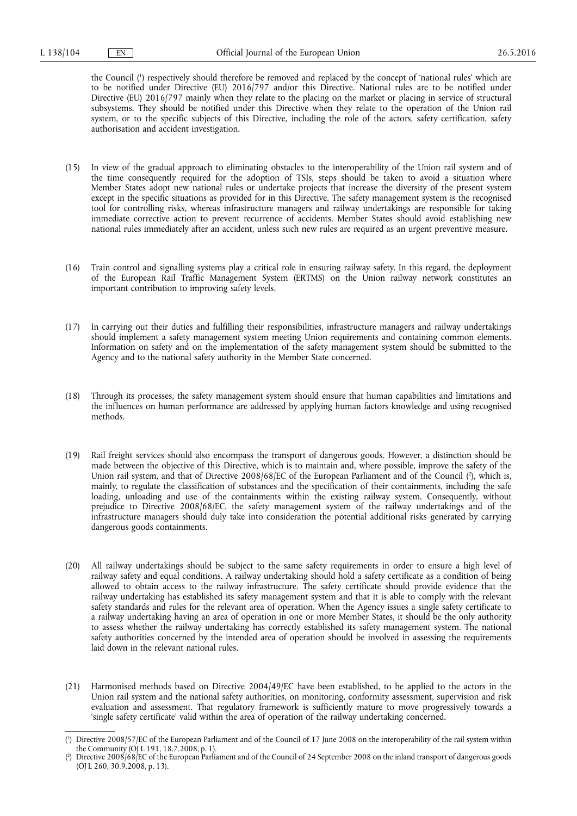the Council ( 1 ) respectively should therefore be removed and replaced by the concept of 'national rules' which are to be notified under Directive (EU) 2016/797 and/or this Directive. National rules are to be notified under Directive (EU) 2016/797 mainly when they relate to the placing on the market or placing in service of structural subsystems. They should be notified under this Directive when they relate to the operation of the Union rail system, or to the specific subjects of this Directive, including the role of the actors, safety certification, safety authorisation and accident investigation.

- (15) In view of the gradual approach to eliminating obstacles to the interoperability of the Union rail system and of the time consequently required for the adoption of TSIs, steps should be taken to avoid a situation where Member States adopt new national rules or undertake projects that increase the diversity of the present system except in the specific situations as provided for in this Directive. The safety management system is the recognised tool for controlling risks, whereas infrastructure managers and railway undertakings are responsible for taking immediate corrective action to prevent recurrence of accidents. Member States should avoid establishing new national rules immediately after an accident, unless such new rules are required as an urgent preventive measure.
- (16) Train control and signalling systems play a critical role in ensuring railway safety. In this regard, the deployment of the European Rail Traffic Management System (ERTMS) on the Union railway network constitutes an important contribution to improving safety levels.
- (17) In carrying out their duties and fulfilling their responsibilities, infrastructure managers and railway undertakings should implement a safety management system meeting Union requirements and containing common elements. Information on safety and on the implementation of the safety management system should be submitted to the Agency and to the national safety authority in the Member State concerned.
- (18) Through its processes, the safety management system should ensure that human capabilities and limitations and the influences on human performance are addressed by applying human factors knowledge and using recognised methods.
- (19) Rail freight services should also encompass the transport of dangerous goods. However, a distinction should be made between the objective of this Directive, which is to maintain and, where possible, improve the safety of the Union rail system, and that of Directive 2008/68/EC of the European Parliament and of the Council ( 2 ), which is, mainly, to regulate the classification of substances and the specification of their containments, including the safe loading, unloading and use of the containments within the existing railway system. Consequently, without prejudice to Directive 2008/68/EC, the safety management system of the railway undertakings and of the infrastructure managers should duly take into consideration the potential additional risks generated by carrying dangerous goods containments.
- (20) All railway undertakings should be subject to the same safety requirements in order to ensure a high level of railway safety and equal conditions. A railway undertaking should hold a safety certificate as a condition of being allowed to obtain access to the railway infrastructure. The safety certificate should provide evidence that the railway undertaking has established its safety management system and that it is able to comply with the relevant safety standards and rules for the relevant area of operation. When the Agency issues a single safety certificate to a railway undertaking having an area of operation in one or more Member States, it should be the only authority to assess whether the railway undertaking has correctly established its safety management system. The national safety authorities concerned by the intended area of operation should be involved in assessing the requirements laid down in the relevant national rules.
- (21) Harmonised methods based on Directive 2004/49/EC have been established, to be applied to the actors in the Union rail system and the national safety authorities, on monitoring, conformity assessment, supervision and risk evaluation and assessment. That regulatory framework is sufficiently mature to move progressively towards a 'single safety certificate' valid within the area of operation of the railway undertaking concerned.

<sup>(</sup> 1 ) Directive 2008/57/EC of the European Parliament and of the Council of 17 June 2008 on the interoperability of the rail system within the Community (OJ L 191, 18.7.2008, p. 1).

<sup>(</sup> 2 ) Directive 2008/68/EC of the European Parliament and of the Council of 24 September 2008 on the inland transport of dangerous goods (OJ L 260, 30.9.2008, p. 13).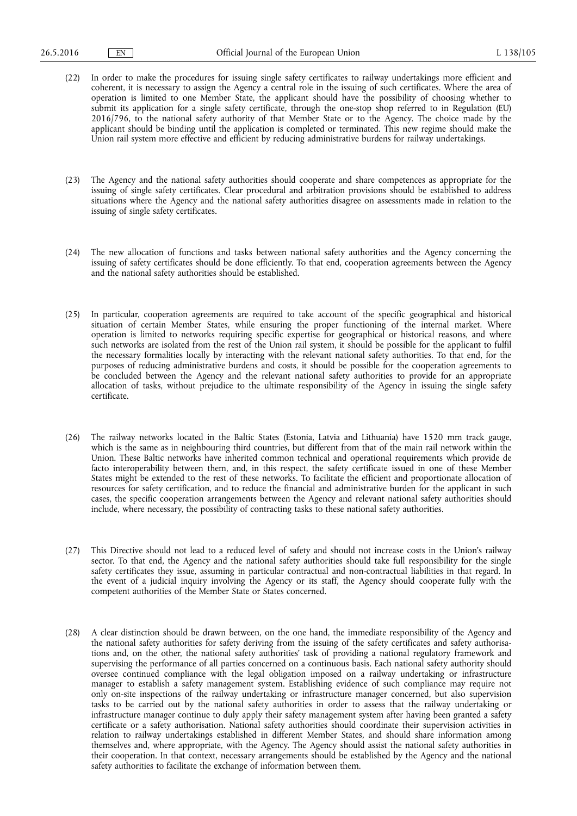- (22) In order to make the procedures for issuing single safety certificates to railway undertakings more efficient and coherent, it is necessary to assign the Agency a central role in the issuing of such certificates. Where the area of operation is limited to one Member State, the applicant should have the possibility of choosing whether to submit its application for a single safety certificate, through the one-stop shop referred to in Regulation (EU) 2016/796, to the national safety authority of that Member State or to the Agency. The choice made by the applicant should be binding until the application is completed or terminated. This new regime should make the Union rail system more effective and efficient by reducing administrative burdens for railway undertakings.
- (23) The Agency and the national safety authorities should cooperate and share competences as appropriate for the issuing of single safety certificates. Clear procedural and arbitration provisions should be established to address situations where the Agency and the national safety authorities disagree on assessments made in relation to the issuing of single safety certificates.
- (24) The new allocation of functions and tasks between national safety authorities and the Agency concerning the issuing of safety certificates should be done efficiently. To that end, cooperation agreements between the Agency and the national safety authorities should be established.
- (25) In particular, cooperation agreements are required to take account of the specific geographical and historical situation of certain Member States, while ensuring the proper functioning of the internal market. Where operation is limited to networks requiring specific expertise for geographical or historical reasons, and where such networks are isolated from the rest of the Union rail system, it should be possible for the applicant to fulfil the necessary formalities locally by interacting with the relevant national safety authorities. To that end, for the purposes of reducing administrative burdens and costs, it should be possible for the cooperation agreements to be concluded between the Agency and the relevant national safety authorities to provide for an appropriate allocation of tasks, without prejudice to the ultimate responsibility of the Agency in issuing the single safety certificate.
- (26) The railway networks located in the Baltic States (Estonia, Latvia and Lithuania) have 1520 mm track gauge, which is the same as in neighbouring third countries, but different from that of the main rail network within the Union. These Baltic networks have inherited common technical and operational requirements which provide de facto interoperability between them, and, in this respect, the safety certificate issued in one of these Member States might be extended to the rest of these networks. To facilitate the efficient and proportionate allocation of resources for safety certification, and to reduce the financial and administrative burden for the applicant in such cases, the specific cooperation arrangements between the Agency and relevant national safety authorities should include, where necessary, the possibility of contracting tasks to these national safety authorities.
- (27) This Directive should not lead to a reduced level of safety and should not increase costs in the Union's railway sector. To that end, the Agency and the national safety authorities should take full responsibility for the single safety certificates they issue, assuming in particular contractual and non-contractual liabilities in that regard. In the event of a judicial inquiry involving the Agency or its staff, the Agency should cooperate fully with the competent authorities of the Member State or States concerned.
- (28) A clear distinction should be drawn between, on the one hand, the immediate responsibility of the Agency and the national safety authorities for safety deriving from the issuing of the safety certificates and safety authorisations and, on the other, the national safety authorities' task of providing a national regulatory framework and supervising the performance of all parties concerned on a continuous basis. Each national safety authority should oversee continued compliance with the legal obligation imposed on a railway undertaking or infrastructure manager to establish a safety management system. Establishing evidence of such compliance may require not only on-site inspections of the railway undertaking or infrastructure manager concerned, but also supervision tasks to be carried out by the national safety authorities in order to assess that the railway undertaking or infrastructure manager continue to duly apply their safety management system after having been granted a safety certificate or a safety authorisation. National safety authorities should coordinate their supervision activities in relation to railway undertakings established in different Member States, and should share information among themselves and, where appropriate, with the Agency. The Agency should assist the national safety authorities in their cooperation. In that context, necessary arrangements should be established by the Agency and the national safety authorities to facilitate the exchange of information between them.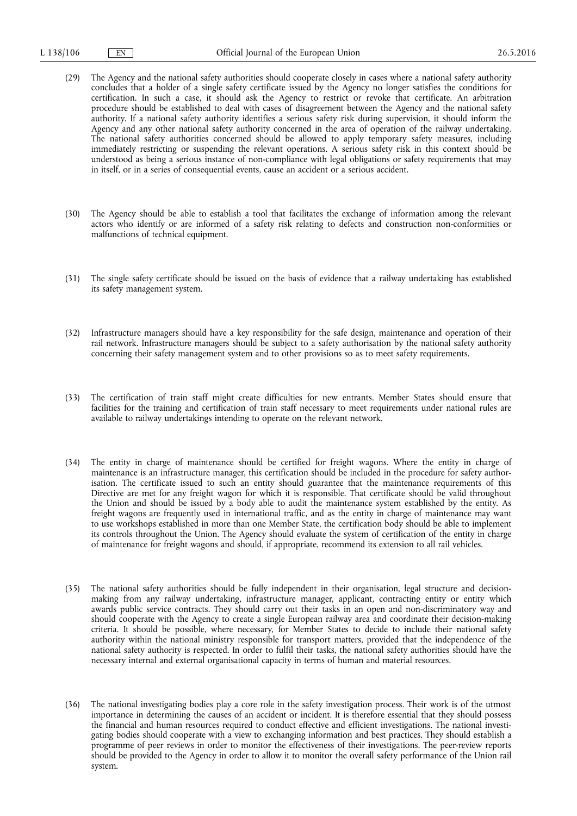- (29) The Agency and the national safety authorities should cooperate closely in cases where a national safety authority concludes that a holder of a single safety certificate issued by the Agency no longer satisfies the conditions for certification. In such a case, it should ask the Agency to restrict or revoke that certificate. An arbitration procedure should be established to deal with cases of disagreement between the Agency and the national safety authority. If a national safety authority identifies a serious safety risk during supervision, it should inform the Agency and any other national safety authority concerned in the area of operation of the railway undertaking. The national safety authorities concerned should be allowed to apply temporary safety measures, including immediately restricting or suspending the relevant operations. A serious safety risk in this context should be understood as being a serious instance of non-compliance with legal obligations or safety requirements that may in itself, or in a series of consequential events, cause an accident or a serious accident.
- (30) The Agency should be able to establish a tool that facilitates the exchange of information among the relevant actors who identify or are informed of a safety risk relating to defects and construction non-conformities or malfunctions of technical equipment.
- (31) The single safety certificate should be issued on the basis of evidence that a railway undertaking has established its safety management system.
- (32) Infrastructure managers should have a key responsibility for the safe design, maintenance and operation of their rail network. Infrastructure managers should be subject to a safety authorisation by the national safety authority concerning their safety management system and to other provisions so as to meet safety requirements.
- (33) The certification of train staff might create difficulties for new entrants. Member States should ensure that facilities for the training and certification of train staff necessary to meet requirements under national rules are available to railway undertakings intending to operate on the relevant network.
- (34) The entity in charge of maintenance should be certified for freight wagons. Where the entity in charge of maintenance is an infrastructure manager, this certification should be included in the procedure for safety authorisation. The certificate issued to such an entity should guarantee that the maintenance requirements of this Directive are met for any freight wagon for which it is responsible. That certificate should be valid throughout the Union and should be issued by a body able to audit the maintenance system established by the entity. As freight wagons are frequently used in international traffic, and as the entity in charge of maintenance may want to use workshops established in more than one Member State, the certification body should be able to implement its controls throughout the Union. The Agency should evaluate the system of certification of the entity in charge of maintenance for freight wagons and should, if appropriate, recommend its extension to all rail vehicles.
- (35) The national safety authorities should be fully independent in their organisation, legal structure and decisionmaking from any railway undertaking, infrastructure manager, applicant, contracting entity or entity which awards public service contracts. They should carry out their tasks in an open and non-discriminatory way and should cooperate with the Agency to create a single European railway area and coordinate their decision-making criteria. It should be possible, where necessary, for Member States to decide to include their national safety authority within the national ministry responsible for transport matters, provided that the independence of the national safety authority is respected. In order to fulfil their tasks, the national safety authorities should have the necessary internal and external organisational capacity in terms of human and material resources.
- (36) The national investigating bodies play a core role in the safety investigation process. Their work is of the utmost importance in determining the causes of an accident or incident. It is therefore essential that they should possess the financial and human resources required to conduct effective and efficient investigations. The national investigating bodies should cooperate with a view to exchanging information and best practices. They should establish a programme of peer reviews in order to monitor the effectiveness of their investigations. The peer-review reports should be provided to the Agency in order to allow it to monitor the overall safety performance of the Union rail system.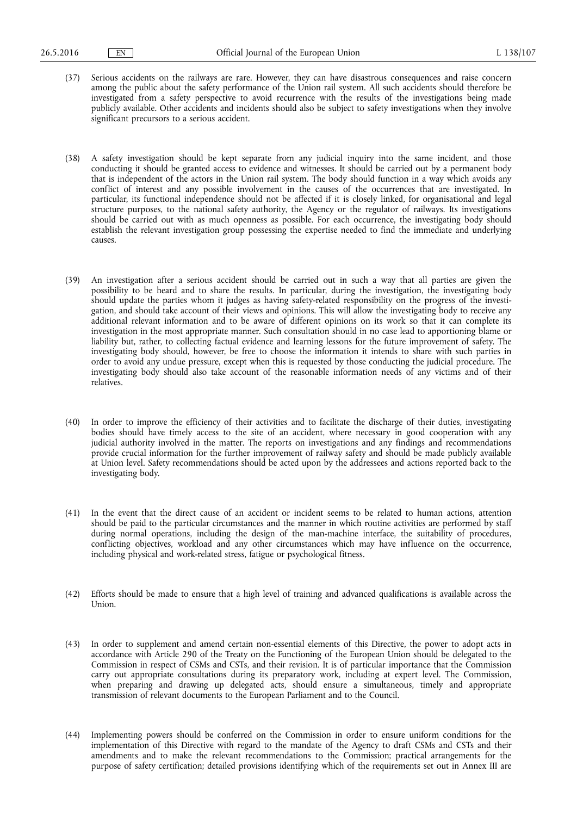- (37) Serious accidents on the railways are rare. However, they can have disastrous consequences and raise concern among the public about the safety performance of the Union rail system. All such accidents should therefore be investigated from a safety perspective to avoid recurrence with the results of the investigations being made publicly available. Other accidents and incidents should also be subject to safety investigations when they involve significant precursors to a serious accident.
- (38) A safety investigation should be kept separate from any judicial inquiry into the same incident, and those conducting it should be granted access to evidence and witnesses. It should be carried out by a permanent body that is independent of the actors in the Union rail system. The body should function in a way which avoids any conflict of interest and any possible involvement in the causes of the occurrences that are investigated. In particular, its functional independence should not be affected if it is closely linked, for organisational and legal structure purposes, to the national safety authority, the Agency or the regulator of railways. Its investigations should be carried out with as much openness as possible. For each occurrence, the investigating body should establish the relevant investigation group possessing the expertise needed to find the immediate and underlying causes.
- (39) An investigation after a serious accident should be carried out in such a way that all parties are given the possibility to be heard and to share the results. In particular, during the investigation, the investigating body should update the parties whom it judges as having safety-related responsibility on the progress of the investigation, and should take account of their views and opinions. This will allow the investigating body to receive any additional relevant information and to be aware of different opinions on its work so that it can complete its investigation in the most appropriate manner. Such consultation should in no case lead to apportioning blame or liability but, rather, to collecting factual evidence and learning lessons for the future improvement of safety. The investigating body should, however, be free to choose the information it intends to share with such parties in order to avoid any undue pressure, except when this is requested by those conducting the judicial procedure. The investigating body should also take account of the reasonable information needs of any victims and of their relatives.
- (40) In order to improve the efficiency of their activities and to facilitate the discharge of their duties, investigating bodies should have timely access to the site of an accident, where necessary in good cooperation with any judicial authority involved in the matter. The reports on investigations and any findings and recommendations provide crucial information for the further improvement of railway safety and should be made publicly available at Union level. Safety recommendations should be acted upon by the addressees and actions reported back to the investigating body.
- (41) In the event that the direct cause of an accident or incident seems to be related to human actions, attention should be paid to the particular circumstances and the manner in which routine activities are performed by staff during normal operations, including the design of the man-machine interface, the suitability of procedures, conflicting objectives, workload and any other circumstances which may have influence on the occurrence, including physical and work-related stress, fatigue or psychological fitness.
- (42) Efforts should be made to ensure that a high level of training and advanced qualifications is available across the Union.
- (43) In order to supplement and amend certain non-essential elements of this Directive, the power to adopt acts in accordance with Article 290 of the Treaty on the Functioning of the European Union should be delegated to the Commission in respect of CSMs and CSTs, and their revision. It is of particular importance that the Commission carry out appropriate consultations during its preparatory work, including at expert level. The Commission, when preparing and drawing up delegated acts, should ensure a simultaneous, timely and appropriate transmission of relevant documents to the European Parliament and to the Council.
- (44) Implementing powers should be conferred on the Commission in order to ensure uniform conditions for the implementation of this Directive with regard to the mandate of the Agency to draft CSMs and CSTs and their amendments and to make the relevant recommendations to the Commission; practical arrangements for the purpose of safety certification; detailed provisions identifying which of the requirements set out in Annex III are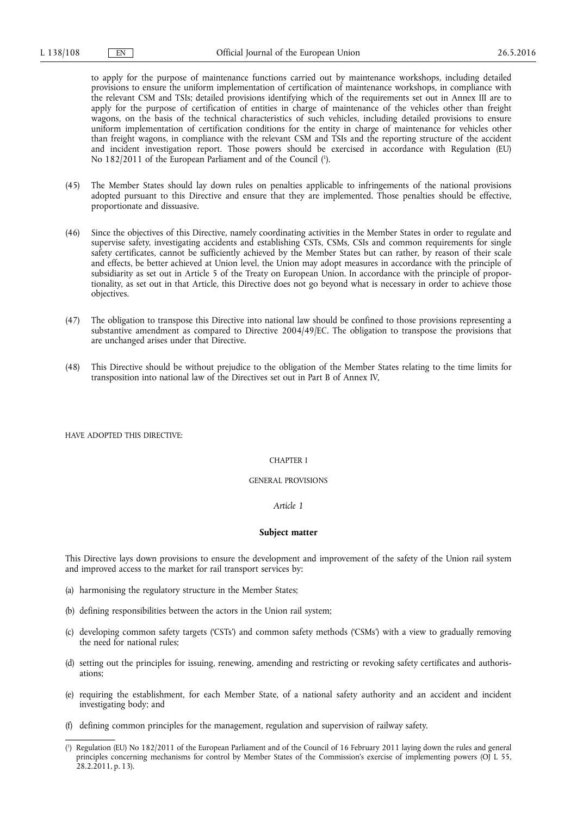to apply for the purpose of maintenance functions carried out by maintenance workshops, including detailed provisions to ensure the uniform implementation of certification of maintenance workshops, in compliance with the relevant CSM and TSIs; detailed provisions identifying which of the requirements set out in Annex III are to apply for the purpose of certification of entities in charge of maintenance of the vehicles other than freight wagons, on the basis of the technical characteristics of such vehicles, including detailed provisions to ensure uniform implementation of certification conditions for the entity in charge of maintenance for vehicles other than freight wagons, in compliance with the relevant CSM and TSIs and the reporting structure of the accident and incident investigation report. Those powers should be exercised in accordance with Regulation (EU) No 182/2011 of the European Parliament and of the Council ( 1 ).

- (45) The Member States should lay down rules on penalties applicable to infringements of the national provisions adopted pursuant to this Directive and ensure that they are implemented. Those penalties should be effective, proportionate and dissuasive.
- (46) Since the objectives of this Directive, namely coordinating activities in the Member States in order to regulate and supervise safety, investigating accidents and establishing CSTs, CSMs, CSIs and common requirements for single safety certificates, cannot be sufficiently achieved by the Member States but can rather, by reason of their scale and effects, be better achieved at Union level, the Union may adopt measures in accordance with the principle of subsidiarity as set out in Article 5 of the Treaty on European Union. In accordance with the principle of proportionality, as set out in that Article, this Directive does not go beyond what is necessary in order to achieve those objectives.
- (47) The obligation to transpose this Directive into national law should be confined to those provisions representing a substantive amendment as compared to Directive 2004/49/EC. The obligation to transpose the provisions that are unchanged arises under that Directive.
- (48) This Directive should be without prejudice to the obligation of the Member States relating to the time limits for transposition into national law of the Directives set out in Part B of Annex IV,

HAVE ADOPTED THIS DIRECTIVE:

# CHAPTER I

#### GENERAL PROVISIONS

## *Article 1*

#### **Subject matter**

This Directive lays down provisions to ensure the development and improvement of the safety of the Union rail system and improved access to the market for rail transport services by:

- (a) harmonising the regulatory structure in the Member States;
- (b) defining responsibilities between the actors in the Union rail system;
- (c) developing common safety targets ('CSTs') and common safety methods ('CSMs') with a view to gradually removing the need for national rules;
- (d) setting out the principles for issuing, renewing, amending and restricting or revoking safety certificates and authorisations;
- (e) requiring the establishment, for each Member State, of a national safety authority and an accident and incident investigating body; and
- (f) defining common principles for the management, regulation and supervision of railway safety.
- ( 1 ) Regulation (EU) No 182/2011 of the European Parliament and of the Council of 16 February 2011 laying down the rules and general principles concerning mechanisms for control by Member States of the Commission's exercise of implementing powers (OJ L 55, 28.2.2011, p. 13).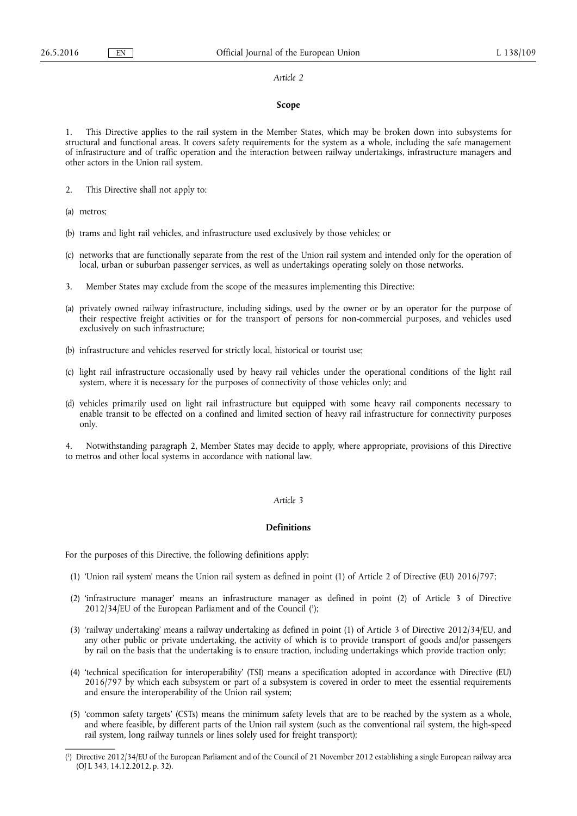#### *Article 2*

#### **Scope**

1. This Directive applies to the rail system in the Member States, which may be broken down into subsystems for structural and functional areas. It covers safety requirements for the system as a whole, including the safe management of infrastructure and of traffic operation and the interaction between railway undertakings, infrastructure managers and other actors in the Union rail system.

- 2. This Directive shall not apply to:
- (a) metros;
- (b) trams and light rail vehicles, and infrastructure used exclusively by those vehicles; or
- (c) networks that are functionally separate from the rest of the Union rail system and intended only for the operation of local, urban or suburban passenger services, as well as undertakings operating solely on those networks.
- 3. Member States may exclude from the scope of the measures implementing this Directive:
- (a) privately owned railway infrastructure, including sidings, used by the owner or by an operator for the purpose of their respective freight activities or for the transport of persons for non-commercial purposes, and vehicles used exclusively on such infrastructure;
- (b) infrastructure and vehicles reserved for strictly local, historical or tourist use;
- (c) light rail infrastructure occasionally used by heavy rail vehicles under the operational conditions of the light rail system, where it is necessary for the purposes of connectivity of those vehicles only; and
- (d) vehicles primarily used on light rail infrastructure but equipped with some heavy rail components necessary to enable transit to be effected on a confined and limited section of heavy rail infrastructure for connectivity purposes only.

4. Notwithstanding paragraph 2, Member States may decide to apply, where appropriate, provisions of this Directive to metros and other local systems in accordance with national law.

# *Article 3*

# **Definitions**

For the purposes of this Directive, the following definitions apply:

- (1) 'Union rail system' means the Union rail system as defined in point (1) of Article 2 of Directive (EU) 2016/797;
- (2) 'infrastructure manager' means an infrastructure manager as defined in point (2) of Article 3 of Directive  $2012/34/EU$  of the European Parliament and of the Council  $(1)$ ;
- (3) 'railway undertaking' means a railway undertaking as defined in point (1) of Article 3 of Directive 2012/34/EU, and any other public or private undertaking, the activity of which is to provide transport of goods and/or passengers by rail on the basis that the undertaking is to ensure traction, including undertakings which provide traction only;
- (4) 'technical specification for interoperability' (TSI) means a specification adopted in accordance with Directive (EU) 2016/797 by which each subsystem or part of a subsystem is covered in order to meet the essential requirements and ensure the interoperability of the Union rail system;
- (5) 'common safety targets' (CSTs) means the minimum safety levels that are to be reached by the system as a whole, and where feasible, by different parts of the Union rail system (such as the conventional rail system, the high-speed rail system, long railway tunnels or lines solely used for freight transport);

<sup>(</sup> 1 ) Directive 2012/34/EU of the European Parliament and of the Council of 21 November 2012 establishing a single European railway area (OJ L 343, 14.12.2012, p. 32).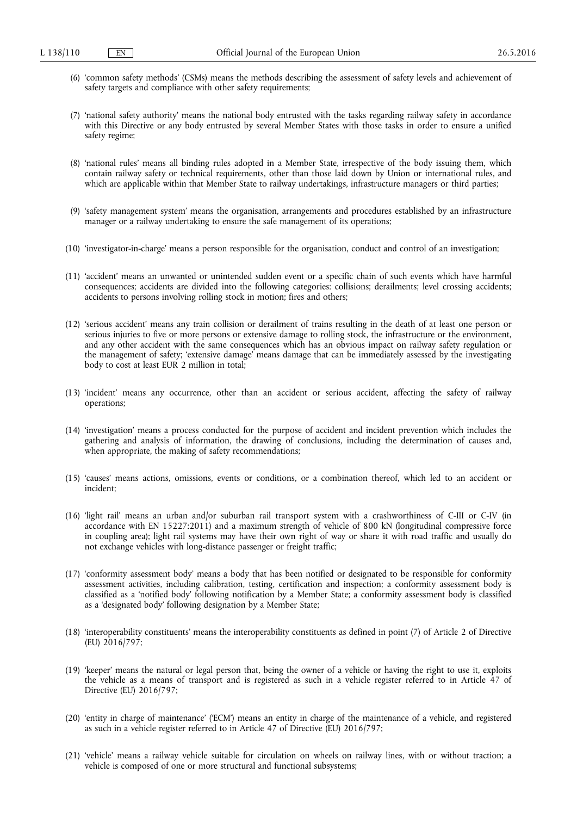- (6) 'common safety methods' (CSMs) means the methods describing the assessment of safety levels and achievement of safety targets and compliance with other safety requirements;
- (7) 'national safety authority' means the national body entrusted with the tasks regarding railway safety in accordance with this Directive or any body entrusted by several Member States with those tasks in order to ensure a unified safety regime;
- (8) 'national rules' means all binding rules adopted in a Member State, irrespective of the body issuing them, which contain railway safety or technical requirements, other than those laid down by Union or international rules, and which are applicable within that Member State to railway undertakings, infrastructure managers or third parties;
- (9) 'safety management system' means the organisation, arrangements and procedures established by an infrastructure manager or a railway undertaking to ensure the safe management of its operations;
- (10) 'investigator-in-charge' means a person responsible for the organisation, conduct and control of an investigation;
- (11) 'accident' means an unwanted or unintended sudden event or a specific chain of such events which have harmful consequences; accidents are divided into the following categories: collisions; derailments; level crossing accidents; accidents to persons involving rolling stock in motion; fires and others;
- (12) 'serious accident' means any train collision or derailment of trains resulting in the death of at least one person or serious injuries to five or more persons or extensive damage to rolling stock, the infrastructure or the environment, and any other accident with the same consequences which has an obvious impact on railway safety regulation or the management of safety; 'extensive damage' means damage that can be immediately assessed by the investigating body to cost at least EUR 2 million in total;
- (13) 'incident' means any occurrence, other than an accident or serious accident, affecting the safety of railway operations;
- (14) 'investigation' means a process conducted for the purpose of accident and incident prevention which includes the gathering and analysis of information, the drawing of conclusions, including the determination of causes and, when appropriate, the making of safety recommendations;
- (15) 'causes' means actions, omissions, events or conditions, or a combination thereof, which led to an accident or incident;
- (16) 'light rail' means an urban and/or suburban rail transport system with a crashworthiness of C-III or C-IV (in accordance with EN 15227:2011) and a maximum strength of vehicle of 800 kN (longitudinal compressive force in coupling area); light rail systems may have their own right of way or share it with road traffic and usually do not exchange vehicles with long-distance passenger or freight traffic;
- (17) 'conformity assessment body' means a body that has been notified or designated to be responsible for conformity assessment activities, including calibration, testing, certification and inspection; a conformity assessment body is classified as a 'notified body' following notification by a Member State; a conformity assessment body is classified as a 'designated body' following designation by a Member State;
- (18) 'interoperability constituents' means the interoperability constituents as defined in point (7) of Article 2 of Directive (EU) 2016/797;
- (19) 'keeper' means the natural or legal person that, being the owner of a vehicle or having the right to use it, exploits the vehicle as a means of transport and is registered as such in a vehicle register referred to in Article 47 of Directive (EU) 2016/797;
- (20) 'entity in charge of maintenance' ('ECM') means an entity in charge of the maintenance of a vehicle, and registered as such in a vehicle register referred to in Article 47 of Directive (EU) 2016/797;
- (21) 'vehicle' means a railway vehicle suitable for circulation on wheels on railway lines, with or without traction; a vehicle is composed of one or more structural and functional subsystems;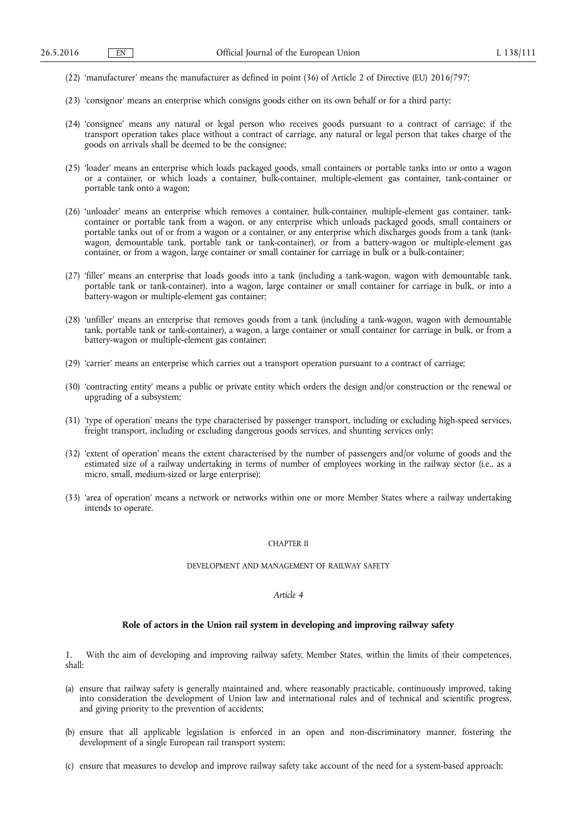- (22) 'manufacturer' means the manufacturer as defined in point (36) of Article 2 of Directive (EU) 2016/797;
- (23) 'consignor' means an enterprise which consigns goods either on its own behalf or for a third party;
- (24) 'consignee' means any natural or legal person who receives goods pursuant to a contract of carriage; if the transport operation takes place without a contract of carriage, any natural or legal person that takes charge of the goods on arrivals shall be deemed to be the consignee;
- (25) 'loader' means an enterprise which loads packaged goods, small containers or portable tanks into or onto a wagon or a container, or which loads a container, bulk-container, multiple-element gas container, tank-container or portable tank onto a wagon;
- (26) 'unloader' means an enterprise which removes a container, bulk-container, multiple-element gas container, tankcontainer or portable tank from a wagon, or any enterprise which unloads packaged goods, small containers or portable tanks out of or from a wagon or a container, or any enterprise which discharges goods from a tank (tankwagon, demountable tank, portable tank or tank-container), or from a battery-wagon or multiple-element gas container, or from a wagon, large container or small container for carriage in bulk or a bulk-container;
- (27) 'filler' means an enterprise that loads goods into a tank (including a tank-wagon, wagon with demountable tank, portable tank or tank-container), into a wagon, large container or small container for carriage in bulk, or into a battery-wagon or multiple-element gas container;
- (28) 'unfiller' means an enterprise that removes goods from a tank (including a tank-wagon, wagon with demountable tank, portable tank or tank-container), a wagon, a large container or small container for carriage in bulk, or from a battery-wagon or multiple-element gas container;
- (29) 'carrier' means an enterprise which carries out a transport operation pursuant to a contract of carriage;
- (30) 'contracting entity' means a public or private entity which orders the design and/or construction or the renewal or upgrading of a subsystem;
- (31) 'type of operation' means the type characterised by passenger transport, including or excluding high-speed services, freight transport, including or excluding dangerous goods services, and shunting services only;
- (32) 'extent of operation' means the extent characterised by the number of passengers and/or volume of goods and the estimated size of a railway undertaking in terms of number of employees working in the railway sector (i.e., as a micro, small, medium-sized or large enterprise);
- (33) 'area of operation' means a network or networks within one or more Member States where a railway undertaking intends to operate.

#### CHAPTER II

### DEVELOPMENT AND MANAGEMENT OF RAILWAY SAFETY

#### *Article 4*

# **Role of actors in the Union rail system in developing and improving railway safety**

1. With the aim of developing and improving railway safety, Member States, within the limits of their competences, shall:

- (a) ensure that railway safety is generally maintained and, where reasonably practicable, continuously improved, taking into consideration the development of Union law and international rules and of technical and scientific progress, and giving priority to the prevention of accidents;
- (b) ensure that all applicable legislation is enforced in an open and non-discriminatory manner, fostering the development of a single European rail transport system;
- (c) ensure that measures to develop and improve railway safety take account of the need for a system-based approach;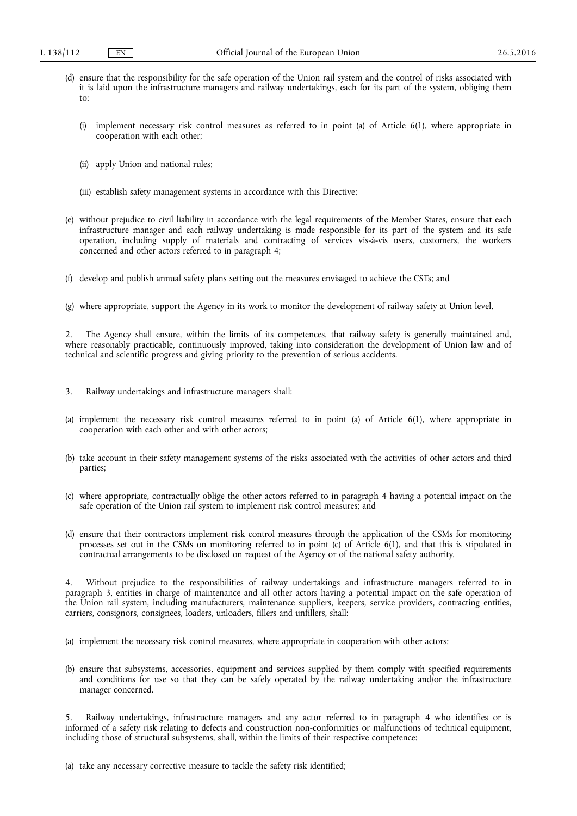- (d) ensure that the responsibility for the safe operation of the Union rail system and the control of risks associated with it is laid upon the infrastructure managers and railway undertakings, each for its part of the system, obliging them to:
	- (i) implement necessary risk control measures as referred to in point (a) of Article 6(1), where appropriate in cooperation with each other;
	- (ii) apply Union and national rules;
	- (iii) establish safety management systems in accordance with this Directive;
- (e) without prejudice to civil liability in accordance with the legal requirements of the Member States, ensure that each infrastructure manager and each railway undertaking is made responsible for its part of the system and its safe operation, including supply of materials and contracting of services vis-à-vis users, customers, the workers concerned and other actors referred to in paragraph 4;
- (f) develop and publish annual safety plans setting out the measures envisaged to achieve the CSTs; and
- (g) where appropriate, support the Agency in its work to monitor the development of railway safety at Union level.

2. The Agency shall ensure, within the limits of its competences, that railway safety is generally maintained and, where reasonably practicable, continuously improved, taking into consideration the development of Union law and of technical and scientific progress and giving priority to the prevention of serious accidents.

- 3. Railway undertakings and infrastructure managers shall:
- (a) implement the necessary risk control measures referred to in point (a) of Article 6(1), where appropriate in cooperation with each other and with other actors;
- (b) take account in their safety management systems of the risks associated with the activities of other actors and third parties;
- (c) where appropriate, contractually oblige the other actors referred to in paragraph 4 having a potential impact on the safe operation of the Union rail system to implement risk control measures; and
- (d) ensure that their contractors implement risk control measures through the application of the CSMs for monitoring processes set out in the CSMs on monitoring referred to in point (c) of Article 6(1), and that this is stipulated in contractual arrangements to be disclosed on request of the Agency or of the national safety authority.

4. Without prejudice to the responsibilities of railway undertakings and infrastructure managers referred to in paragraph 3, entities in charge of maintenance and all other actors having a potential impact on the safe operation of the Union rail system, including manufacturers, maintenance suppliers, keepers, service providers, contracting entities, carriers, consignors, consignees, loaders, unloaders, fillers and unfillers, shall:

- (a) implement the necessary risk control measures, where appropriate in cooperation with other actors;
- (b) ensure that subsystems, accessories, equipment and services supplied by them comply with specified requirements and conditions for use so that they can be safely operated by the railway undertaking and/or the infrastructure manager concerned.

5. Railway undertakings, infrastructure managers and any actor referred to in paragraph 4 who identifies or is informed of a safety risk relating to defects and construction non-conformities or malfunctions of technical equipment, including those of structural subsystems, shall, within the limits of their respective competence:

(a) take any necessary corrective measure to tackle the safety risk identified;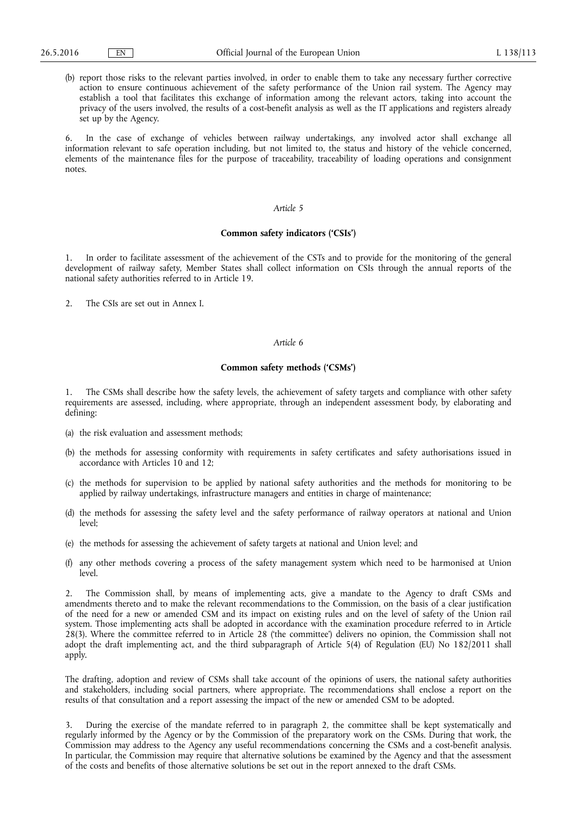(b) report those risks to the relevant parties involved, in order to enable them to take any necessary further corrective action to ensure continuous achievement of the safety performance of the Union rail system. The Agency may establish a tool that facilitates this exchange of information among the relevant actors, taking into account the privacy of the users involved, the results of a cost-benefit analysis as well as the IT applications and registers already set up by the Agency.

6. In the case of exchange of vehicles between railway undertakings, any involved actor shall exchange all information relevant to safe operation including, but not limited to, the status and history of the vehicle concerned, elements of the maintenance files for the purpose of traceability, traceability of loading operations and consignment notes.

## *Article 5*

## **Common safety indicators ('CSIs')**

1. In order to facilitate assessment of the achievement of the CSTs and to provide for the monitoring of the general development of railway safety, Member States shall collect information on CSIs through the annual reports of the national safety authorities referred to in Article 19.

2. The CSIs are set out in Annex I.

# *Article 6*

# **Common safety methods ('CSMs')**

1. The CSMs shall describe how the safety levels, the achievement of safety targets and compliance with other safety requirements are assessed, including, where appropriate, through an independent assessment body, by elaborating and defining:

- (a) the risk evaluation and assessment methods;
- (b) the methods for assessing conformity with requirements in safety certificates and safety authorisations issued in accordance with Articles 10 and 12:
- (c) the methods for supervision to be applied by national safety authorities and the methods for monitoring to be applied by railway undertakings, infrastructure managers and entities in charge of maintenance;
- (d) the methods for assessing the safety level and the safety performance of railway operators at national and Union  $level:$
- (e) the methods for assessing the achievement of safety targets at national and Union level; and
- (f) any other methods covering a process of the safety management system which need to be harmonised at Union level.

2. The Commission shall, by means of implementing acts, give a mandate to the Agency to draft CSMs and amendments thereto and to make the relevant recommendations to the Commission, on the basis of a clear justification of the need for a new or amended CSM and its impact on existing rules and on the level of safety of the Union rail system. Those implementing acts shall be adopted in accordance with the examination procedure referred to in Article 28(3). Where the committee referred to in Article 28 ('the committee') delivers no opinion, the Commission shall not adopt the draft implementing act, and the third subparagraph of Article 5(4) of Regulation (EU) No 182/2011 shall apply.

The drafting, adoption and review of CSMs shall take account of the opinions of users, the national safety authorities and stakeholders, including social partners, where appropriate. The recommendations shall enclose a report on the results of that consultation and a report assessing the impact of the new or amended CSM to be adopted.

3. During the exercise of the mandate referred to in paragraph 2, the committee shall be kept systematically and regularly informed by the Agency or by the Commission of the preparatory work on the CSMs. During that work, the Commission may address to the Agency any useful recommendations concerning the CSMs and a cost-benefit analysis. In particular, the Commission may require that alternative solutions be examined by the Agency and that the assessment of the costs and benefits of those alternative solutions be set out in the report annexed to the draft CSMs.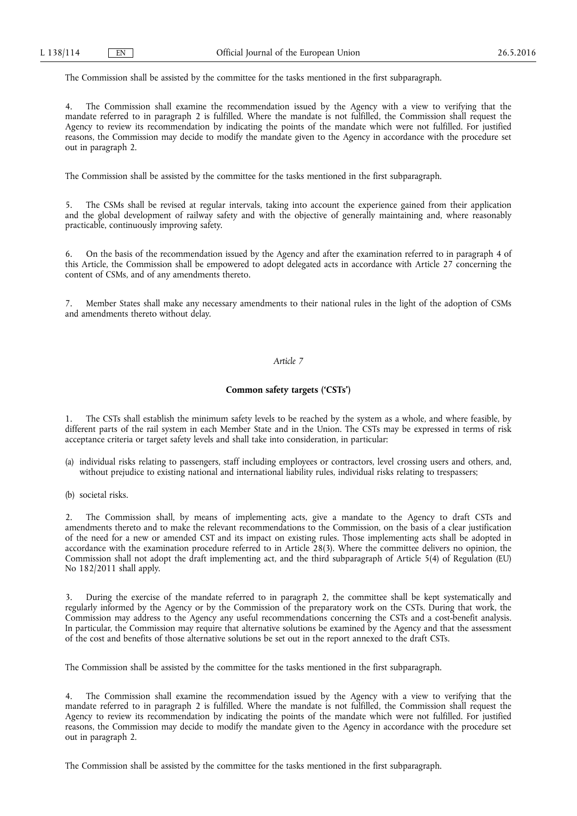The Commission shall be assisted by the committee for the tasks mentioned in the first subparagraph.

The Commission shall examine the recommendation issued by the Agency with a view to verifying that the mandate referred to in paragraph 2 is fulfilled. Where the mandate is not fulfilled, the Commission shall request the Agency to review its recommendation by indicating the points of the mandate which were not fulfilled. For justified reasons, the Commission may decide to modify the mandate given to the Agency in accordance with the procedure set out in paragraph 2.

The Commission shall be assisted by the committee for the tasks mentioned in the first subparagraph.

5. The CSMs shall be revised at regular intervals, taking into account the experience gained from their application and the global development of railway safety and with the objective of generally maintaining and, where reasonably practicable, continuously improving safety.

6. On the basis of the recommendation issued by the Agency and after the examination referred to in paragraph 4 of this Article, the Commission shall be empowered to adopt delegated acts in accordance with Article 27 concerning the content of CSMs, and of any amendments thereto.

7. Member States shall make any necessary amendments to their national rules in the light of the adoption of CSMs and amendments thereto without delay.

### *Article 7*

# **Common safety targets ('CSTs')**

1. The CSTs shall establish the minimum safety levels to be reached by the system as a whole, and where feasible, by different parts of the rail system in each Member State and in the Union. The CSTs may be expressed in terms of risk acceptance criteria or target safety levels and shall take into consideration, in particular:

- (a) individual risks relating to passengers, staff including employees or contractors, level crossing users and others, and, without prejudice to existing national and international liability rules, individual risks relating to trespassers;
- (b) societal risks.

2. The Commission shall, by means of implementing acts, give a mandate to the Agency to draft CSTs and amendments thereto and to make the relevant recommendations to the Commission, on the basis of a clear justification of the need for a new or amended CST and its impact on existing rules. Those implementing acts shall be adopted in accordance with the examination procedure referred to in Article 28(3). Where the committee delivers no opinion, the Commission shall not adopt the draft implementing act, and the third subparagraph of Article 5(4) of Regulation (EU) No 182/2011 shall apply.

3. During the exercise of the mandate referred to in paragraph 2, the committee shall be kept systematically and regularly informed by the Agency or by the Commission of the preparatory work on the CSTs. During that work, the Commission may address to the Agency any useful recommendations concerning the CSTs and a cost-benefit analysis. In particular, the Commission may require that alternative solutions be examined by the Agency and that the assessment of the cost and benefits of those alternative solutions be set out in the report annexed to the draft CSTs.

The Commission shall be assisted by the committee for the tasks mentioned in the first subparagraph.

The Commission shall examine the recommendation issued by the Agency with a view to verifying that the mandate referred to in paragraph 2 is fulfilled. Where the mandate is not fulfilled, the Commission shall request the Agency to review its recommendation by indicating the points of the mandate which were not fulfilled. For justified reasons, the Commission may decide to modify the mandate given to the Agency in accordance with the procedure set out in paragraph 2.

The Commission shall be assisted by the committee for the tasks mentioned in the first subparagraph.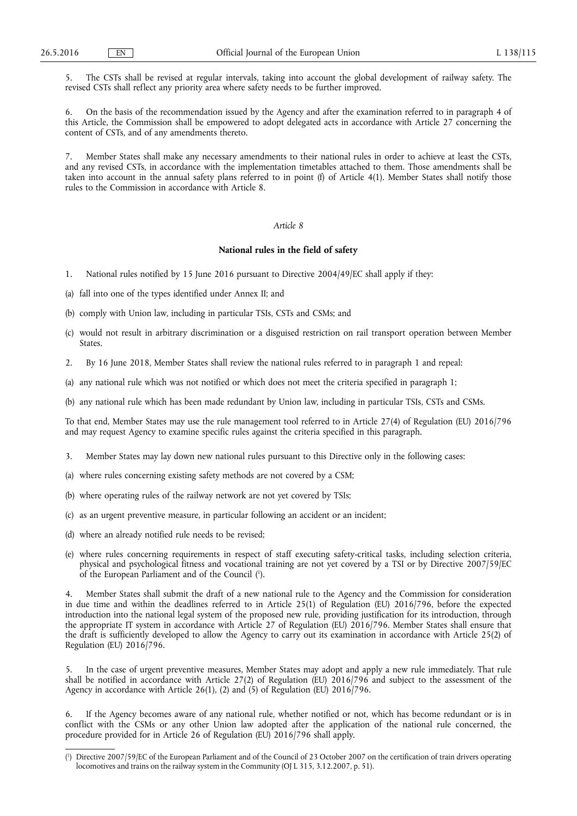5. The CSTs shall be revised at regular intervals, taking into account the global development of railway safety. The revised CSTs shall reflect any priority area where safety needs to be further improved.

6. On the basis of the recommendation issued by the Agency and after the examination referred to in paragraph 4 of this Article, the Commission shall be empowered to adopt delegated acts in accordance with Article 27 concerning the content of CSTs, and of any amendments thereto.

Member States shall make any necessary amendments to their national rules in order to achieve at least the CSTs, and any revised CSTs, in accordance with the implementation timetables attached to them. Those amendments shall be taken into account in the annual safety plans referred to in point (f) of Article 4(1). Member States shall notify those rules to the Commission in accordance with Article 8.

#### *Article 8*

# **National rules in the field of safety**

- 1. National rules notified by 15 June 2016 pursuant to Directive 2004/49/EC shall apply if they:
- (a) fall into one of the types identified under Annex II; and
- (b) comply with Union law, including in particular TSIs, CSTs and CSMs; and
- (c) would not result in arbitrary discrimination or a disguised restriction on rail transport operation between Member States.
- 2. By 16 June 2018, Member States shall review the national rules referred to in paragraph 1 and repeal:
- (a) any national rule which was not notified or which does not meet the criteria specified in paragraph 1;
- (b) any national rule which has been made redundant by Union law, including in particular TSIs, CSTs and CSMs.

To that end, Member States may use the rule management tool referred to in Article 27(4) of Regulation (EU) 2016/796 and may request Agency to examine specific rules against the criteria specified in this paragraph.

- 3. Member States may lay down new national rules pursuant to this Directive only in the following cases:
- (a) where rules concerning existing safety methods are not covered by a CSM;
- (b) where operating rules of the railway network are not yet covered by TSIs;
- (c) as an urgent preventive measure, in particular following an accident or an incident;
- (d) where an already notified rule needs to be revised;
- (e) where rules concerning requirements in respect of staff executing safety-critical tasks, including selection criteria, physical and psychological fitness and vocational training are not yet covered by a TSI or by Directive 2007/59/EC of the European Parliament and of the Council ( 1 ).

4. Member States shall submit the draft of a new national rule to the Agency and the Commission for consideration in due time and within the deadlines referred to in Article 25(1) of Regulation (EU) 2016/796, before the expected introduction into the national legal system of the proposed new rule, providing justification for its introduction, through the appropriate IT system in accordance with Article 27 of Regulation (EU) 2016/796. Member States shall ensure that the draft is sufficiently developed to allow the Agency to carry out its examination in accordance with Article 25(2) of Regulation (EU) 2016/796.

5. In the case of urgent preventive measures, Member States may adopt and apply a new rule immediately. That rule shall be notified in accordance with Article 27(2) of Regulation (EU) 2016/796 and subject to the assessment of the Agency in accordance with Article 26(1), (2) and (5) of Regulation (EU) 2016/796.

6. If the Agency becomes aware of any national rule, whether notified or not, which has become redundant or is in conflict with the CSMs or any other Union law adopted after the application of the national rule concerned, the procedure provided for in Article 26 of Regulation (EU) 2016/796 shall apply.

<sup>(</sup> 1 ) Directive 2007/59/EC of the European Parliament and of the Council of 23 October 2007 on the certification of train drivers operating locomotives and trains on the railway system in the Community (OJ L 315, 3.12.2007, p. 51).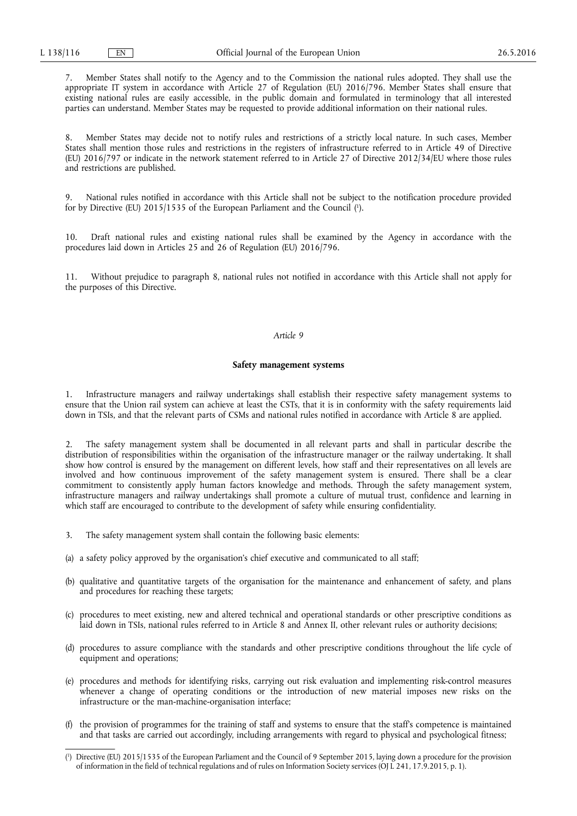7. Member States shall notify to the Agency and to the Commission the national rules adopted. They shall use the appropriate IT system in accordance with Article 27 of Regulation (EU) 2016/796. Member States shall ensure that existing national rules are easily accessible, in the public domain and formulated in terminology that all interested parties can understand. Member States may be requested to provide additional information on their national rules.

8. Member States may decide not to notify rules and restrictions of a strictly local nature. In such cases, Member States shall mention those rules and restrictions in the registers of infrastructure referred to in Article 49 of Directive (EU) 2016/797 or indicate in the network statement referred to in Article 27 of Directive 2012/34/EU where those rules and restrictions are published.

9. National rules notified in accordance with this Article shall not be subject to the notification procedure provided for by Directive (EU) 2015/1535 of the European Parliament and the Council ( 1 ).

10. Draft national rules and existing national rules shall be examined by the Agency in accordance with the procedures laid down in Articles 25 and 26 of Regulation (EU) 2016/796.

11. Without prejudice to paragraph 8, national rules not notified in accordance with this Article shall not apply for the purposes of this Directive.

# *Article 9*

# **Safety management systems**

1. Infrastructure managers and railway undertakings shall establish their respective safety management systems to ensure that the Union rail system can achieve at least the CSTs, that it is in conformity with the safety requirements laid down in TSIs, and that the relevant parts of CSMs and national rules notified in accordance with Article 8 are applied.

2. The safety management system shall be documented in all relevant parts and shall in particular describe the distribution of responsibilities within the organisation of the infrastructure manager or the railway undertaking. It shall show how control is ensured by the management on different levels, how staff and their representatives on all levels are involved and how continuous improvement of the safety management system is ensured. There shall be a clear commitment to consistently apply human factors knowledge and methods. Through the safety management system, infrastructure managers and railway undertakings shall promote a culture of mutual trust, confidence and learning in which staff are encouraged to contribute to the development of safety while ensuring confidentiality.

- 3. The safety management system shall contain the following basic elements:
- (a) a safety policy approved by the organisation's chief executive and communicated to all staff;
- (b) qualitative and quantitative targets of the organisation for the maintenance and enhancement of safety, and plans and procedures for reaching these targets;
- (c) procedures to meet existing, new and altered technical and operational standards or other prescriptive conditions as laid down in TSIs, national rules referred to in Article 8 and Annex II, other relevant rules or authority decisions;
- (d) procedures to assure compliance with the standards and other prescriptive conditions throughout the life cycle of equipment and operations;
- (e) procedures and methods for identifying risks, carrying out risk evaluation and implementing risk-control measures whenever a change of operating conditions or the introduction of new material imposes new risks on the infrastructure or the man-machine-organisation interface;
- (f) the provision of programmes for the training of staff and systems to ensure that the staff's competence is maintained and that tasks are carried out accordingly, including arrangements with regard to physical and psychological fitness;

<sup>(</sup> 1 ) Directive (EU) 2015/1535 of the European Parliament and the Council of 9 September 2015, laying down a procedure for the provision of information in the field of technical regulations and of rules on Information Society services (OJ L 241, 17.9.2015, p. 1).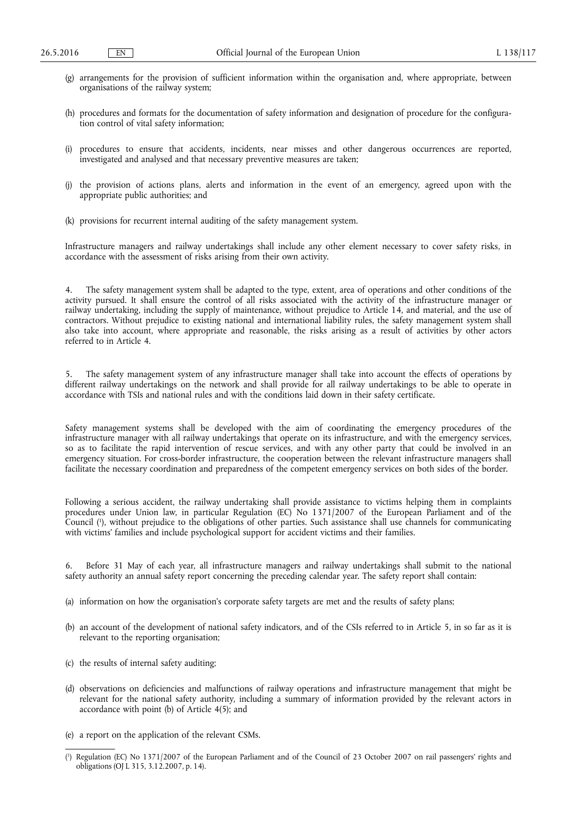- (g) arrangements for the provision of sufficient information within the organisation and, where appropriate, between organisations of the railway system;
- (h) procedures and formats for the documentation of safety information and designation of procedure for the configuration control of vital safety information;
- (i) procedures to ensure that accidents, incidents, near misses and other dangerous occurrences are reported, investigated and analysed and that necessary preventive measures are taken;
- (j) the provision of actions plans, alerts and information in the event of an emergency, agreed upon with the appropriate public authorities; and
- (k) provisions for recurrent internal auditing of the safety management system.

Infrastructure managers and railway undertakings shall include any other element necessary to cover safety risks, in accordance with the assessment of risks arising from their own activity.

4. The safety management system shall be adapted to the type, extent, area of operations and other conditions of the activity pursued. It shall ensure the control of all risks associated with the activity of the infrastructure manager or railway undertaking, including the supply of maintenance, without prejudice to Article 14, and material, and the use of contractors. Without prejudice to existing national and international liability rules, the safety management system shall also take into account, where appropriate and reasonable, the risks arising as a result of activities by other actors referred to in Article 4.

The safety management system of any infrastructure manager shall take into account the effects of operations by different railway undertakings on the network and shall provide for all railway undertakings to be able to operate in accordance with TSIs and national rules and with the conditions laid down in their safety certificate.

Safety management systems shall be developed with the aim of coordinating the emergency procedures of the infrastructure manager with all railway undertakings that operate on its infrastructure, and with the emergency services, so as to facilitate the rapid intervention of rescue services, and with any other party that could be involved in an emergency situation. For cross-border infrastructure, the cooperation between the relevant infrastructure managers shall facilitate the necessary coordination and preparedness of the competent emergency services on both sides of the border.

Following a serious accident, the railway undertaking shall provide assistance to victims helping them in complaints procedures under Union law, in particular Regulation (EC) No 1371/2007 of the European Parliament and of the Council ( 1 ), without prejudice to the obligations of other parties. Such assistance shall use channels for communicating with victims' families and include psychological support for accident victims and their families.

6. Before 31 May of each year, all infrastructure managers and railway undertakings shall submit to the national safety authority an annual safety report concerning the preceding calendar year. The safety report shall contain:

- (a) information on how the organisation's corporate safety targets are met and the results of safety plans;
- (b) an account of the development of national safety indicators, and of the CSIs referred to in Article 5, in so far as it is relevant to the reporting organisation;
- (c) the results of internal safety auditing;
- (d) observations on deficiencies and malfunctions of railway operations and infrastructure management that might be relevant for the national safety authority, including a summary of information provided by the relevant actors in accordance with point (b) of Article 4(5); and
- (e) a report on the application of the relevant CSMs.

<sup>(</sup> 1 ) Regulation (EC) No 1371/2007 of the European Parliament and of the Council of 23 October 2007 on rail passengers' rights and obligations (OJ L 315, 3.12.2007, p. 14).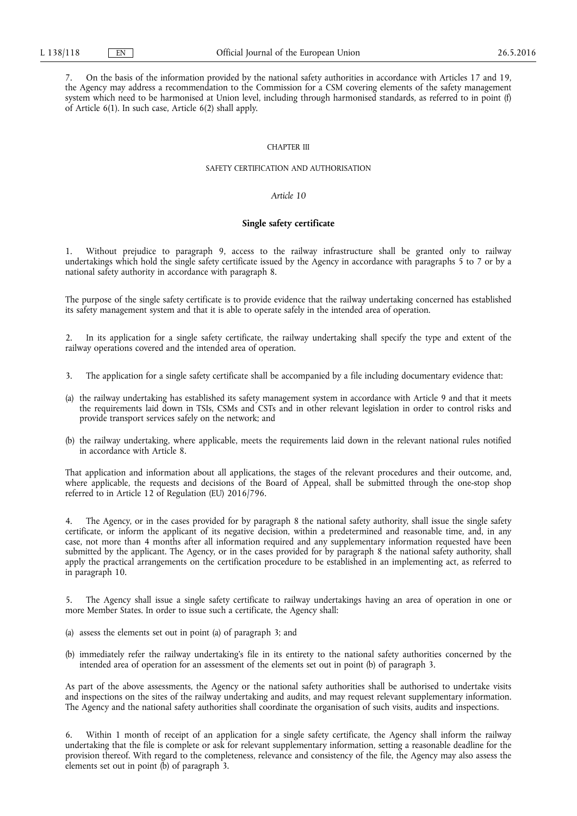7. On the basis of the information provided by the national safety authorities in accordance with Articles 17 and 19, the Agency may address a recommendation to the Commission for a CSM covering elements of the safety management system which need to be harmonised at Union level, including through harmonised standards, as referred to in point (f) of Article 6(1). In such case, Article 6(2) shall apply.

### CHAPTER III

## SAFETY CERTIFICATION AND AUTHORISATION

# *Article 10*

### **Single safety certificate**

1. Without prejudice to paragraph 9, access to the railway infrastructure shall be granted only to railway undertakings which hold the single safety certificate issued by the Agency in accordance with paragraphs  $\frac{2}{5}$  to 7 or by a national safety authority in accordance with paragraph 8.

The purpose of the single safety certificate is to provide evidence that the railway undertaking concerned has established its safety management system and that it is able to operate safely in the intended area of operation.

2. In its application for a single safety certificate, the railway undertaking shall specify the type and extent of the railway operations covered and the intended area of operation.

- 3. The application for a single safety certificate shall be accompanied by a file including documentary evidence that:
- (a) the railway undertaking has established its safety management system in accordance with Article 9 and that it meets the requirements laid down in TSIs, CSMs and CSTs and in other relevant legislation in order to control risks and provide transport services safely on the network; and
- (b) the railway undertaking, where applicable, meets the requirements laid down in the relevant national rules notified in accordance with Article 8.

That application and information about all applications, the stages of the relevant procedures and their outcome, and, where applicable, the requests and decisions of the Board of Appeal, shall be submitted through the one-stop shop referred to in Article 12 of Regulation (EU) 2016/796.

The Agency, or in the cases provided for by paragraph 8 the national safety authority, shall issue the single safety certificate, or inform the applicant of its negative decision, within a predetermined and reasonable time, and, in any case, not more than 4 months after all information required and any supplementary information requested have been submitted by the applicant. The Agency, or in the cases provided for by paragraph 8 the national safety authority, shall apply the practical arrangements on the certification procedure to be established in an implementing act, as referred to in paragraph 10.

5. The Agency shall issue a single safety certificate to railway undertakings having an area of operation in one or more Member States. In order to issue such a certificate, the Agency shall:

- (a) assess the elements set out in point (a) of paragraph 3; and
- (b) immediately refer the railway undertaking's file in its entirety to the national safety authorities concerned by the intended area of operation for an assessment of the elements set out in point (b) of paragraph 3.

As part of the above assessments, the Agency or the national safety authorities shall be authorised to undertake visits and inspections on the sites of the railway undertaking and audits, and may request relevant supplementary information. The Agency and the national safety authorities shall coordinate the organisation of such visits, audits and inspections.

6. Within 1 month of receipt of an application for a single safety certificate, the Agency shall inform the railway undertaking that the file is complete or ask for relevant supplementary information, setting a reasonable deadline for the provision thereof. With regard to the completeness, relevance and consistency of the file, the Agency may also assess the elements set out in point  $(b)$  of paragraph 3.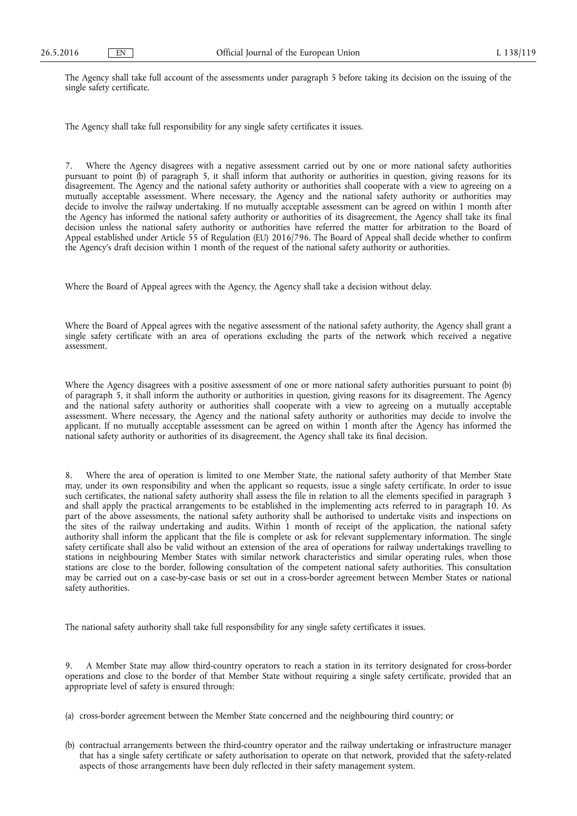The Agency shall take full account of the assessments under paragraph 5 before taking its decision on the issuing of the single safety certificate.

The Agency shall take full responsibility for any single safety certificates it issues.

7. Where the Agency disagrees with a negative assessment carried out by one or more national safety authorities pursuant to point (b) of paragraph 5, it shall inform that authority or authorities in question, giving reasons for its disagreement. The Agency and the national safety authority or authorities shall cooperate with a view to agreeing on a mutually acceptable assessment. Where necessary, the Agency and the national safety authority or authorities may decide to involve the railway undertaking. If no mutually acceptable assessment can be agreed on within 1 month after the Agency has informed the national safety authority or authorities of its disagreement, the Agency shall take its final decision unless the national safety authority or authorities have referred the matter for arbitration to the Board of Appeal established under Article 55 of Regulation (EU) 2016/796. The Board of Appeal shall decide whether to confirm the Agency's draft decision within 1 month of the request of the national safety authority or authorities.

Where the Board of Appeal agrees with the Agency, the Agency shall take a decision without delay.

Where the Board of Appeal agrees with the negative assessment of the national safety authority, the Agency shall grant a single safety certificate with an area of operations excluding the parts of the network which received a negative assessment.

Where the Agency disagrees with a positive assessment of one or more national safety authorities pursuant to point (b) of paragraph 5, it shall inform the authority or authorities in question, giving reasons for its disagreement. The Agency and the national safety authority or authorities shall cooperate with a view to agreeing on a mutually acceptable assessment. Where necessary, the Agency and the national safety authority or authorities may decide to involve the applicant. If no mutually acceptable assessment can be agreed on within 1 month after the Agency has informed the national safety authority or authorities of its disagreement, the Agency shall take its final decision.

8. Where the area of operation is limited to one Member State, the national safety authority of that Member State may, under its own responsibility and when the applicant so requests, issue a single safety certificate. In order to issue such certificates, the national safety authority shall assess the file in relation to all the elements specified in paragraph 3 and shall apply the practical arrangements to be established in the implementing acts referred to in paragraph 10. As part of the above assessments, the national safety authority shall be authorised to undertake visits and inspections on the sites of the railway undertaking and audits. Within 1 month of receipt of the application, the national safety authority shall inform the applicant that the file is complete or ask for relevant supplementary information. The single safety certificate shall also be valid without an extension of the area of operations for railway undertakings travelling to stations in neighbouring Member States with similar network characteristics and similar operating rules, when those stations are close to the border, following consultation of the competent national safety authorities. This consultation may be carried out on a case-by-case basis or set out in a cross-border agreement between Member States or national safety authorities.

The national safety authority shall take full responsibility for any single safety certificates it issues.

9. A Member State may allow third-country operators to reach a station in its territory designated for cross-border operations and close to the border of that Member State without requiring a single safety certificate, provided that an appropriate level of safety is ensured through:

(a) cross-border agreement between the Member State concerned and the neighbouring third country; or

(b) contractual arrangements between the third-country operator and the railway undertaking or infrastructure manager that has a single safety certificate or safety authorisation to operate on that network, provided that the safety-related aspects of those arrangements have been duly reflected in their safety management system.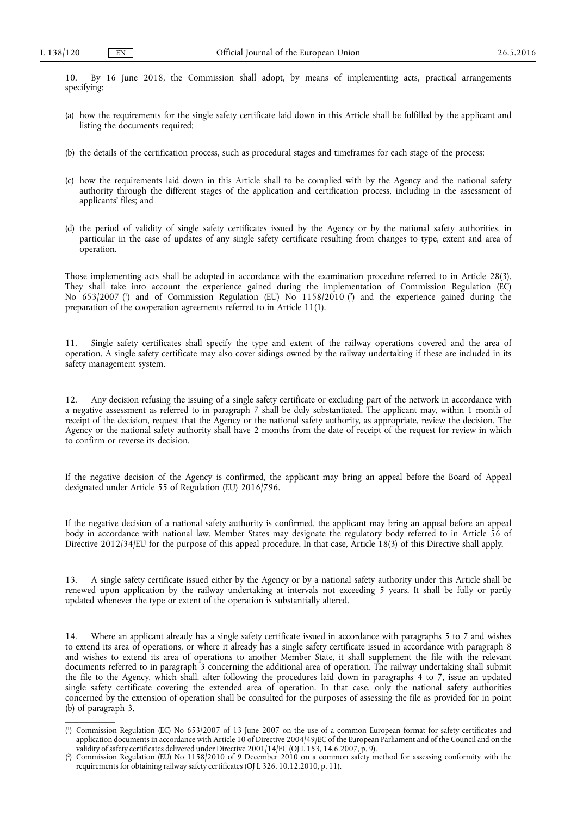10. By 16 June 2018, the Commission shall adopt, by means of implementing acts, practical arrangements specifying:

- (a) how the requirements for the single safety certificate laid down in this Article shall be fulfilled by the applicant and listing the documents required;
- (b) the details of the certification process, such as procedural stages and timeframes for each stage of the process;
- (c) how the requirements laid down in this Article shall to be complied with by the Agency and the national safety authority through the different stages of the application and certification process, including in the assessment of applicants' files; and
- (d) the period of validity of single safety certificates issued by the Agency or by the national safety authorities, in particular in the case of updates of any single safety certificate resulting from changes to type, extent and area of operation.

Those implementing acts shall be adopted in accordance with the examination procedure referred to in Article 28(3). They shall take into account the experience gained during the implementation of Commission Regulation (EC) No 653/2007 ( 1 ) and of Commission Regulation (EU) No 1158/2010 ( 2 ) and the experience gained during the preparation of the cooperation agreements referred to in Article 11(1).

11. Single safety certificates shall specify the type and extent of the railway operations covered and the area of operation. A single safety certificate may also cover sidings owned by the railway undertaking if these are included in its safety management system.

12. Any decision refusing the issuing of a single safety certificate or excluding part of the network in accordance with a negative assessment as referred to in paragraph 7 shall be duly substantiated. The applicant may, within 1 month of receipt of the decision, request that the Agency or the national safety authority, as appropriate, review the decision. The Agency or the national safety authority shall have 2 months from the date of receipt of the request for review in which to confirm or reverse its decision.

If the negative decision of the Agency is confirmed, the applicant may bring an appeal before the Board of Appeal designated under Article 55 of Regulation (EU) 2016/796.

If the negative decision of a national safety authority is confirmed, the applicant may bring an appeal before an appeal body in accordance with national law. Member States may designate the regulatory body referred to in Article 56 of Directive 2012/34/EU for the purpose of this appeal procedure. In that case, Article 18(3) of this Directive shall apply.

13. A single safety certificate issued either by the Agency or by a national safety authority under this Article shall be renewed upon application by the railway undertaking at intervals not exceeding 5 years. It shall be fully or partly updated whenever the type or extent of the operation is substantially altered.

14. Where an applicant already has a single safety certificate issued in accordance with paragraphs 5 to 7 and wishes to extend its area of operations, or where it already has a single safety certificate issued in accordance with paragraph 8 and wishes to extend its area of operations to another Member State, it shall supplement the file with the relevant documents referred to in paragraph 3 concerning the additional area of operation. The railway undertaking shall submit the file to the Agency, which shall, after following the procedures laid down in paragraphs 4 to 7, issue an updated single safety certificate covering the extended area of operation. In that case, only the national safety authorities concerned by the extension of operation shall be consulted for the purposes of assessing the file as provided for in point (b) of paragraph 3.

<sup>(</sup> 1 ) Commission Regulation (EC) No 653/2007 of 13 June 2007 on the use of a common European format for safety certificates and application documents in accordance with Article 10 of Directive 2004/49/EC of the European Parliament and of the Council and on the validity of safety certificates delivered under Directive 2001/14/EC (OJ L 153, 14.6.2007, p. 9).

<sup>(</sup> 2 ) Commission Regulation (EU) No 1158/2010 of 9 December 2010 on a common safety method for assessing conformity with the requirements for obtaining railway safety certificates (OJ L 326, 10.12.2010, p. 11).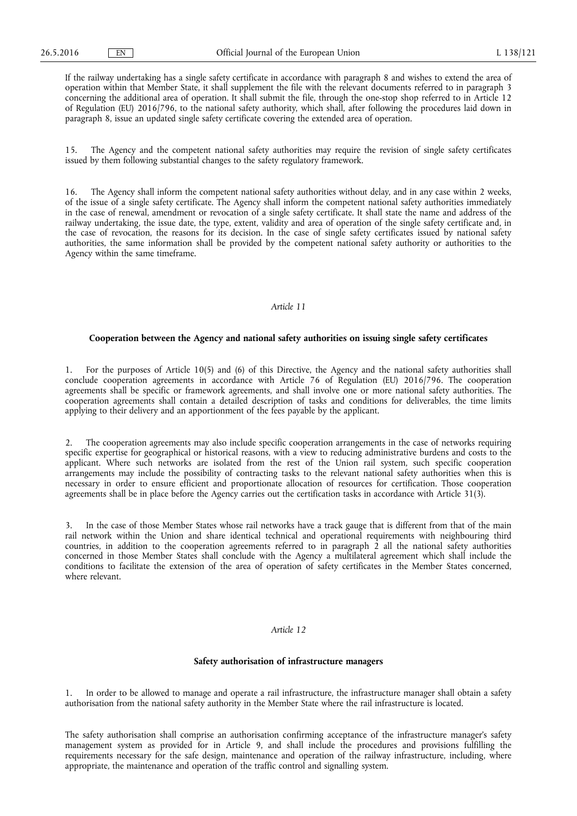If the railway undertaking has a single safety certificate in accordance with paragraph 8 and wishes to extend the area of operation within that Member State, it shall supplement the file with the relevant documents referred to in paragraph 3 concerning the additional area of operation. It shall submit the file, through the one-stop shop referred to in Article 12 of Regulation (EU) 2016/796, to the national safety authority, which shall, after following the procedures laid down in paragraph 8, issue an updated single safety certificate covering the extended area of operation.

15. The Agency and the competent national safety authorities may require the revision of single safety certificates issued by them following substantial changes to the safety regulatory framework.

16. The Agency shall inform the competent national safety authorities without delay, and in any case within 2 weeks, of the issue of a single safety certificate. The Agency shall inform the competent national safety authorities immediately in the case of renewal, amendment or revocation of a single safety certificate. It shall state the name and address of the railway undertaking, the issue date, the type, extent, validity and area of operation of the single safety certificate and, in the case of revocation, the reasons for its decision. In the case of single safety certificates issued by national safety authorities, the same information shall be provided by the competent national safety authority or authorities to the Agency within the same timeframe.

## *Article 11*

#### **Cooperation between the Agency and national safety authorities on issuing single safety certificates**

1. For the purposes of Article 10(5) and (6) of this Directive, the Agency and the national safety authorities shall conclude cooperation agreements in accordance with Article 76 of Regulation (EU) 2016/796. The cooperation agreements shall be specific or framework agreements, and shall involve one or more national safety authorities. The cooperation agreements shall contain a detailed description of tasks and conditions for deliverables, the time limits applying to their delivery and an apportionment of the fees payable by the applicant.

2. The cooperation agreements may also include specific cooperation arrangements in the case of networks requiring specific expertise for geographical or historical reasons, with a view to reducing administrative burdens and costs to the applicant. Where such networks are isolated from the rest of the Union rail system, such specific cooperation arrangements may include the possibility of contracting tasks to the relevant national safety authorities when this is necessary in order to ensure efficient and proportionate allocation of resources for certification. Those cooperation agreements shall be in place before the Agency carries out the certification tasks in accordance with Article 31(3).

3. In the case of those Member States whose rail networks have a track gauge that is different from that of the main rail network within the Union and share identical technical and operational requirements with neighbouring third countries, in addition to the cooperation agreements referred to in paragraph  $\hat{2}$  all the national safety authorities concerned in those Member States shall conclude with the Agency a multilateral agreement which shall include the conditions to facilitate the extension of the area of operation of safety certificates in the Member States concerned, where relevant.

# *Article 12*

# **Safety authorisation of infrastructure managers**

In order to be allowed to manage and operate a rail infrastructure, the infrastructure manager shall obtain a safety authorisation from the national safety authority in the Member State where the rail infrastructure is located.

The safety authorisation shall comprise an authorisation confirming acceptance of the infrastructure manager's safety management system as provided for in Article 9, and shall include the procedures and provisions fulfilling the requirements necessary for the safe design, maintenance and operation of the railway infrastructure, including, where appropriate, the maintenance and operation of the traffic control and signalling system.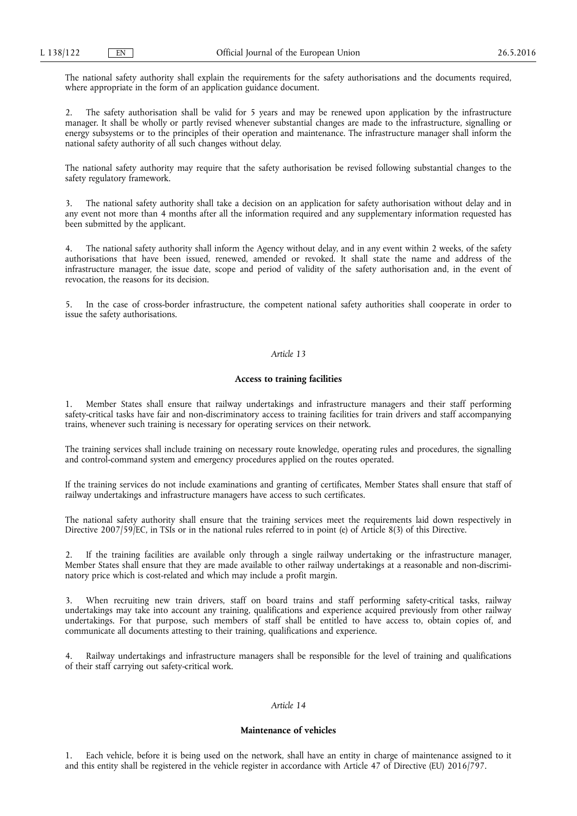The national safety authority shall explain the requirements for the safety authorisations and the documents required, where appropriate in the form of an application guidance document.

2. The safety authorisation shall be valid for 5 years and may be renewed upon application by the infrastructure manager. It shall be wholly or partly revised whenever substantial changes are made to the infrastructure, signalling or energy subsystems or to the principles of their operation and maintenance. The infrastructure manager shall inform the national safety authority of all such changes without delay.

The national safety authority may require that the safety authorisation be revised following substantial changes to the safety regulatory framework.

3. The national safety authority shall take a decision on an application for safety authorisation without delay and in any event not more than 4 months after all the information required and any supplementary information requested has been submitted by the applicant.

4. The national safety authority shall inform the Agency without delay, and in any event within 2 weeks, of the safety authorisations that have been issued, renewed, amended or revoked. It shall state the name and address of the infrastructure manager, the issue date, scope and period of validity of the safety authorisation and, in the event of revocation, the reasons for its decision.

5. In the case of cross-border infrastructure, the competent national safety authorities shall cooperate in order to issue the safety authorisations.

# *Article 13*

# **Access to training facilities**

1. Member States shall ensure that railway undertakings and infrastructure managers and their staff performing safety-critical tasks have fair and non-discriminatory access to training facilities for train drivers and staff accompanying trains, whenever such training is necessary for operating services on their network.

The training services shall include training on necessary route knowledge, operating rules and procedures, the signalling and control-command system and emergency procedures applied on the routes operated.

If the training services do not include examinations and granting of certificates, Member States shall ensure that staff of railway undertakings and infrastructure managers have access to such certificates.

The national safety authority shall ensure that the training services meet the requirements laid down respectively in Directive 2007/59/EC, in TSIs or in the national rules referred to in point (e) of Article 8(3) of this Directive.

2. If the training facilities are available only through a single railway undertaking or the infrastructure manager, Member States shall ensure that they are made available to other railway undertakings at a reasonable and non-discriminatory price which is cost-related and which may include a profit margin.

3. When recruiting new train drivers, staff on board trains and staff performing safety-critical tasks, railway undertakings may take into account any training, qualifications and experience acquired previously from other railway undertakings. For that purpose, such members of staff shall be entitled to have access to, obtain copies of, and communicate all documents attesting to their training, qualifications and experience.

Railway undertakings and infrastructure managers shall be responsible for the level of training and qualifications of their staff carrying out safety-critical work.

# *Article 14*

# **Maintenance of vehicles**

1. Each vehicle, before it is being used on the network, shall have an entity in charge of maintenance assigned to it and this entity shall be registered in the vehicle register in accordance with Article 47 of Directive (EU) 2016/797.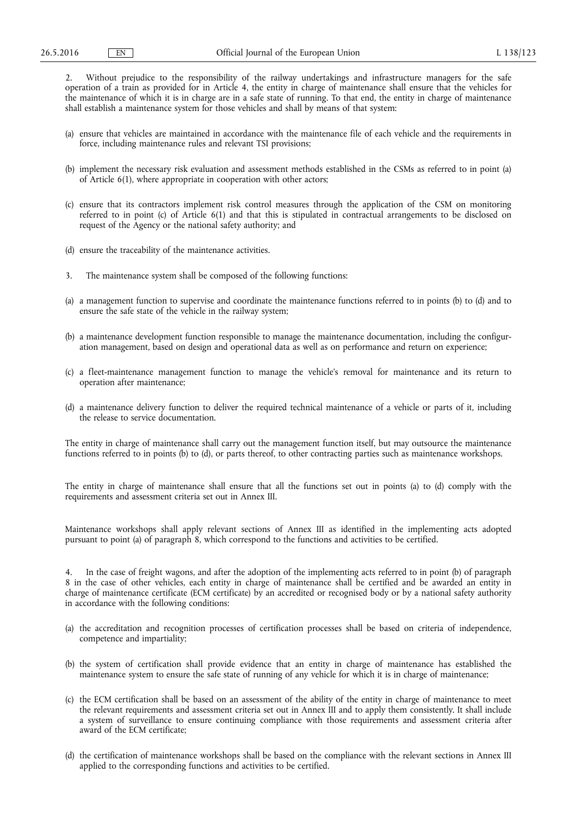2. Without prejudice to the responsibility of the railway undertakings and infrastructure managers for the safe operation of a train as provided for in Article 4, the entity in charge of maintenance shall ensure that the vehicles for the maintenance of which it is in charge are in a safe state of running. To that end, the entity in charge of maintenance shall establish a maintenance system for those vehicles and shall by means of that system:

- (a) ensure that vehicles are maintained in accordance with the maintenance file of each vehicle and the requirements in force, including maintenance rules and relevant TSI provisions;
- (b) implement the necessary risk evaluation and assessment methods established in the CSMs as referred to in point (a) of Article 6(1), where appropriate in cooperation with other actors;
- (c) ensure that its contractors implement risk control measures through the application of the CSM on monitoring referred to in point (c) of Article 6(1) and that this is stipulated in contractual arrangements to be disclosed on request of the Agency or the national safety authority; and
- (d) ensure the traceability of the maintenance activities.
- 3. The maintenance system shall be composed of the following functions:
- (a) a management function to supervise and coordinate the maintenance functions referred to in points (b) to (d) and to ensure the safe state of the vehicle in the railway system;
- (b) a maintenance development function responsible to manage the maintenance documentation, including the configuration management, based on design and operational data as well as on performance and return on experience;
- (c) a fleet-maintenance management function to manage the vehicle's removal for maintenance and its return to operation after maintenance;
- (d) a maintenance delivery function to deliver the required technical maintenance of a vehicle or parts of it, including the release to service documentation.

The entity in charge of maintenance shall carry out the management function itself, but may outsource the maintenance functions referred to in points (b) to (d), or parts thereof, to other contracting parties such as maintenance workshops.

The entity in charge of maintenance shall ensure that all the functions set out in points (a) to (d) comply with the requirements and assessment criteria set out in Annex III.

Maintenance workshops shall apply relevant sections of Annex III as identified in the implementing acts adopted pursuant to point (a) of paragraph 8, which correspond to the functions and activities to be certified.

4. In the case of freight wagons, and after the adoption of the implementing acts referred to in point (b) of paragraph 8 in the case of other vehicles, each entity in charge of maintenance shall be certified and be awarded an entity in charge of maintenance certificate (ECM certificate) by an accredited or recognised body or by a national safety authority in accordance with the following conditions:

- (a) the accreditation and recognition processes of certification processes shall be based on criteria of independence, competence and impartiality;
- (b) the system of certification shall provide evidence that an entity in charge of maintenance has established the maintenance system to ensure the safe state of running of any vehicle for which it is in charge of maintenance;
- (c) the ECM certification shall be based on an assessment of the ability of the entity in charge of maintenance to meet the relevant requirements and assessment criteria set out in Annex III and to apply them consistently. It shall include a system of surveillance to ensure continuing compliance with those requirements and assessment criteria after award of the ECM certificate;
- (d) the certification of maintenance workshops shall be based on the compliance with the relevant sections in Annex III applied to the corresponding functions and activities to be certified.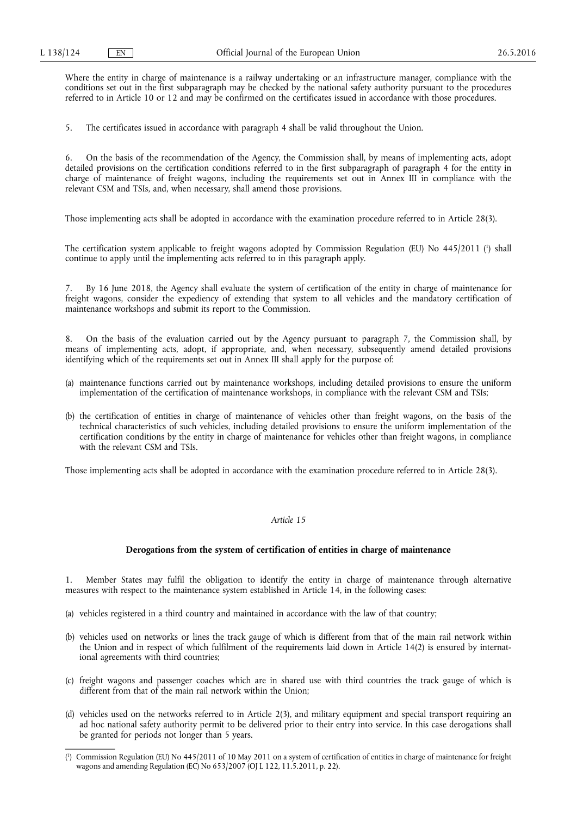Where the entity in charge of maintenance is a railway undertaking or an infrastructure manager, compliance with the conditions set out in the first subparagraph may be checked by the national safety authority pursuant to the procedures referred to in Article 10 or 12 and may be confirmed on the certificates issued in accordance with those procedures.

5. The certificates issued in accordance with paragraph 4 shall be valid throughout the Union.

6. On the basis of the recommendation of the Agency, the Commission shall, by means of implementing acts, adopt detailed provisions on the certification conditions referred to in the first subparagraph of paragraph 4 for the entity in charge of maintenance of freight wagons, including the requirements set out in Annex III in compliance with the relevant CSM and TSIs, and, when necessary, shall amend those provisions.

Those implementing acts shall be adopted in accordance with the examination procedure referred to in Article 28(3).

The certification system applicable to freight wagons adopted by Commission Regulation (EU) No 445/2011 (<sup>1</sup>) shall continue to apply until the implementing acts referred to in this paragraph apply.

7. By 16 June 2018, the Agency shall evaluate the system of certification of the entity in charge of maintenance for freight wagons, consider the expediency of extending that system to all vehicles and the mandatory certification of maintenance workshops and submit its report to the Commission.

8. On the basis of the evaluation carried out by the Agency pursuant to paragraph 7, the Commission shall, by means of implementing acts, adopt, if appropriate, and, when necessary, subsequently amend detailed provisions identifying which of the requirements set out in Annex III shall apply for the purpose of:

- (a) maintenance functions carried out by maintenance workshops, including detailed provisions to ensure the uniform implementation of the certification of maintenance workshops, in compliance with the relevant CSM and TSIs;
- (b) the certification of entities in charge of maintenance of vehicles other than freight wagons, on the basis of the technical characteristics of such vehicles, including detailed provisions to ensure the uniform implementation of the certification conditions by the entity in charge of maintenance for vehicles other than freight wagons, in compliance with the relevant CSM and TSIs.

Those implementing acts shall be adopted in accordance with the examination procedure referred to in Article 28(3).

# *Article 15*

## **Derogations from the system of certification of entities in charge of maintenance**

1. Member States may fulfil the obligation to identify the entity in charge of maintenance through alternative measures with respect to the maintenance system established in Article 14, in the following cases:

- (a) vehicles registered in a third country and maintained in accordance with the law of that country;
- (b) vehicles used on networks or lines the track gauge of which is different from that of the main rail network within the Union and in respect of which fulfilment of the requirements laid down in Article 14(2) is ensured by international agreements with third countries;
- (c) freight wagons and passenger coaches which are in shared use with third countries the track gauge of which is different from that of the main rail network within the Union;
- (d) vehicles used on the networks referred to in Article 2(3), and military equipment and special transport requiring an ad hoc national safety authority permit to be delivered prior to their entry into service. In this case derogations shall be granted for periods not longer than 5 years.

<sup>(</sup> 1 ) Commission Regulation (EU) No 445/2011 of 10 May 2011 on a system of certification of entities in charge of maintenance for freight wagons and amending Regulation (EC) No 653/2007 (OJ L 122, 11.5.2011, p. 22).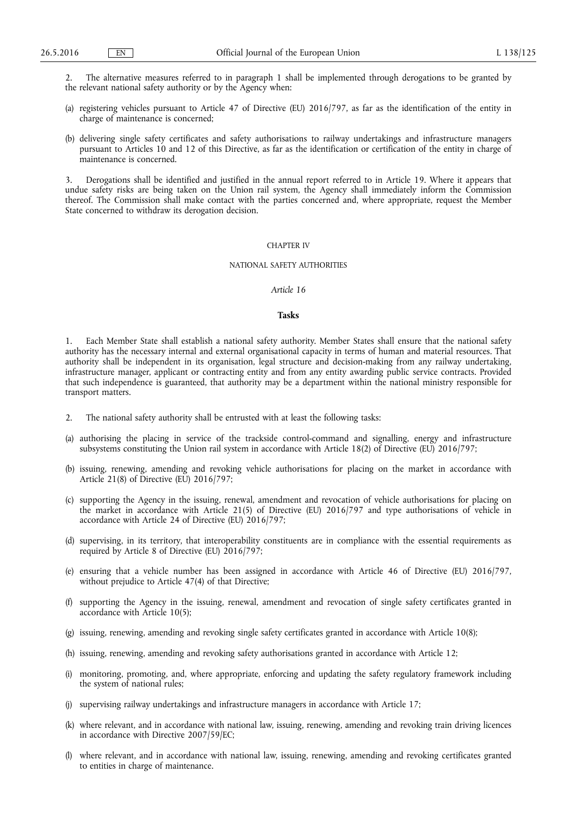2. The alternative measures referred to in paragraph 1 shall be implemented through derogations to be granted by the relevant national safety authority or by the Agency when:

- (a) registering vehicles pursuant to Article 47 of Directive (EU) 2016/797, as far as the identification of the entity in charge of maintenance is concerned;
- (b) delivering single safety certificates and safety authorisations to railway undertakings and infrastructure managers pursuant to Articles 10 and 12 of this Directive, as far as the identification or certification of the entity in charge of maintenance is concerned.

3. Derogations shall be identified and justified in the annual report referred to in Article 19. Where it appears that undue safety risks are being taken on the Union rail system, the Agency shall immediately inform the Commission thereof. The Commission shall make contact with the parties concerned and, where appropriate, request the Member State concerned to withdraw its derogation decision.

## CHAPTER IV

#### NATIONAL SAFETY AUTHORITIES

## *Article 16*

#### **Tasks**

1. Each Member State shall establish a national safety authority. Member States shall ensure that the national safety authority has the necessary internal and external organisational capacity in terms of human and material resources. That authority shall be independent in its organisation, legal structure and decision-making from any railway undertaking, infrastructure manager, applicant or contracting entity and from any entity awarding public service contracts. Provided that such independence is guaranteed, that authority may be a department within the national ministry responsible for transport matters.

- 2. The national safety authority shall be entrusted with at least the following tasks:
- (a) authorising the placing in service of the trackside control-command and signalling, energy and infrastructure subsystems constituting the Union rail system in accordance with Article 18(2) of Directive (EU) 2016/797;
- (b) issuing, renewing, amending and revoking vehicle authorisations for placing on the market in accordance with Article 21(8) of Directive (EU) 2016/797;
- (c) supporting the Agency in the issuing, renewal, amendment and revocation of vehicle authorisations for placing on the market in accordance with Article 21(5) of Directive (EU) 2016/797 and type authorisations of vehicle in accordance with Article 24 of Directive (EU) 2016/797;
- (d) supervising, in its territory, that interoperability constituents are in compliance with the essential requirements as required by Article 8 of Directive (EU) 2016/797;
- (e) ensuring that a vehicle number has been assigned in accordance with Article 46 of Directive (EU) 2016/797, without prejudice to Article 47(4) of that Directive;
- (f) supporting the Agency in the issuing, renewal, amendment and revocation of single safety certificates granted in accordance with Article 10(5);
- (g) issuing, renewing, amending and revoking single safety certificates granted in accordance with Article 10(8);
- (h) issuing, renewing, amending and revoking safety authorisations granted in accordance with Article 12;
- (i) monitoring, promoting, and, where appropriate, enforcing and updating the safety regulatory framework including the system of national rules;
- (j) supervising railway undertakings and infrastructure managers in accordance with Article 17;
- (k) where relevant, and in accordance with national law, issuing, renewing, amending and revoking train driving licences in accordance with Directive 2007/59/EC;
- where relevant, and in accordance with national law, issuing, renewing, amending and revoking certificates granted to entities in charge of maintenance.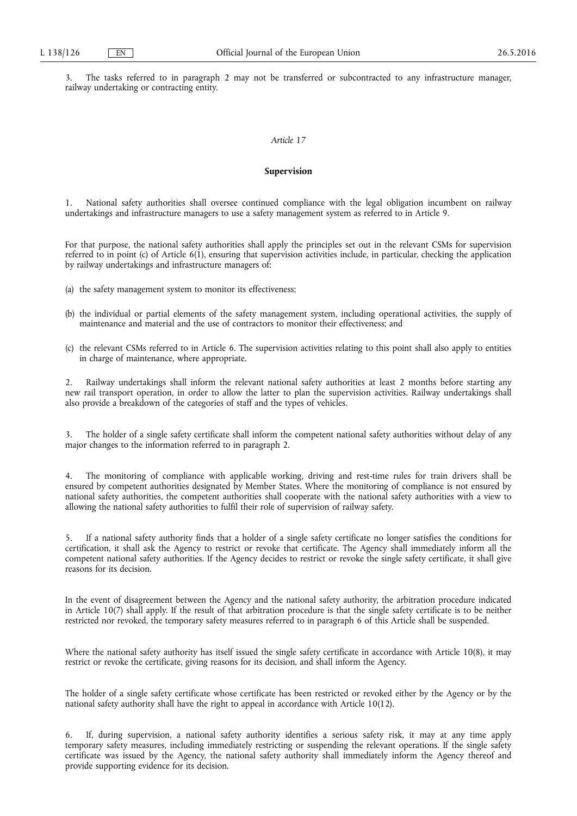3. The tasks referred to in paragraph 2 may not be transferred or subcontracted to any infrastructure manager, railway undertaking or contracting entity.

# *Article 17*

# **Supervision**

1. National safety authorities shall oversee continued compliance with the legal obligation incumbent on railway undertakings and infrastructure managers to use a safety management system as referred to in Article 9.

For that purpose, the national safety authorities shall apply the principles set out in the relevant CSMs for supervision referred to in point (c) of Article 6(1), ensuring that supervision activities include, in particular, checking the application by railway undertakings and infrastructure managers of:

- (a) the safety management system to monitor its effectiveness;
- (b) the individual or partial elements of the safety management system, including operational activities, the supply of maintenance and material and the use of contractors to monitor their effectiveness; and
- (c) the relevant CSMs referred to in Article 6. The supervision activities relating to this point shall also apply to entities in charge of maintenance, where appropriate.

2. Railway undertakings shall inform the relevant national safety authorities at least 2 months before starting any new rail transport operation, in order to allow the latter to plan the supervision activities. Railway undertakings shall also provide a breakdown of the categories of staff and the types of vehicles.

The holder of a single safety certificate shall inform the competent national safety authorities without delay of any major changes to the information referred to in paragraph 2.

The monitoring of compliance with applicable working, driving and rest-time rules for train drivers shall be ensured by competent authorities designated by Member States. Where the monitoring of compliance is not ensured by national safety authorities, the competent authorities shall cooperate with the national safety authorities with a view to allowing the national safety authorities to fulfil their role of supervision of railway safety.

5. If a national safety authority finds that a holder of a single safety certificate no longer satisfies the conditions for certification, it shall ask the Agency to restrict or revoke that certificate. The Agency shall immediately inform all the competent national safety authorities. If the Agency decides to restrict or revoke the single safety certificate, it shall give reasons for its decision.

In the event of disagreement between the Agency and the national safety authority, the arbitration procedure indicated in Article 10(7) shall apply. If the result of that arbitration procedure is that the single safety certificate is to be neither restricted nor revoked, the temporary safety measures referred to in paragraph 6 of this Article shall be suspended.

Where the national safety authority has itself issued the single safety certificate in accordance with Article 10(8), it may restrict or revoke the certificate, giving reasons for its decision, and shall inform the Agency.

The holder of a single safety certificate whose certificate has been restricted or revoked either by the Agency or by the national safety authority shall have the right to appeal in accordance with Article 10(12).

6. If, during supervision, a national safety authority identifies a serious safety risk, it may at any time apply temporary safety measures, including immediately restricting or suspending the relevant operations. If the single safety certificate was issued by the Agency, the national safety authority shall immediately inform the Agency thereof and provide supporting evidence for its decision.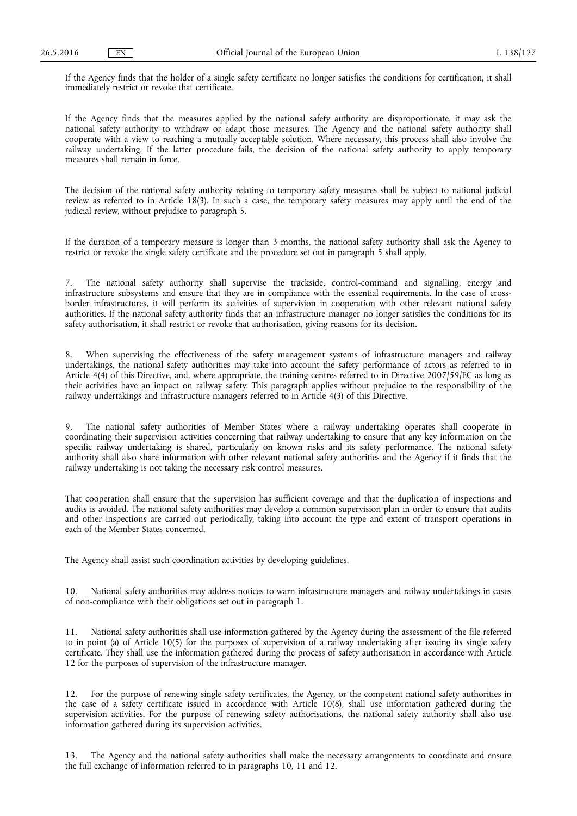If the Agency finds that the holder of a single safety certificate no longer satisfies the conditions for certification, it shall immediately restrict or revoke that certificate.

If the Agency finds that the measures applied by the national safety authority are disproportionate, it may ask the national safety authority to withdraw or adapt those measures. The Agency and the national safety authority shall cooperate with a view to reaching a mutually acceptable solution. Where necessary, this process shall also involve the railway undertaking. If the latter procedure fails, the decision of the national safety authority to apply temporary measures shall remain in force.

The decision of the national safety authority relating to temporary safety measures shall be subject to national judicial review as referred to in Article 18(3). In such a case, the temporary safety measures may apply until the end of the judicial review, without prejudice to paragraph 5.

If the duration of a temporary measure is longer than 3 months, the national safety authority shall ask the Agency to restrict or revoke the single safety certificate and the procedure set out in paragraph 5 shall apply.

7. The national safety authority shall supervise the trackside, control-command and signalling, energy and infrastructure subsystems and ensure that they are in compliance with the essential requirements. In the case of crossborder infrastructures, it will perform its activities of supervision in cooperation with other relevant national safety authorities. If the national safety authority finds that an infrastructure manager no longer satisfies the conditions for its safety authorisation, it shall restrict or revoke that authorisation, giving reasons for its decision.

8. When supervising the effectiveness of the safety management systems of infrastructure managers and railway undertakings, the national safety authorities may take into account the safety performance of actors as referred to in Article 4(4) of this Directive, and, where appropriate, the training centres referred to in Directive 2007/59/EC as long as their activities have an impact on railway safety. This paragraph applies without prejudice to the responsibility of the railway undertakings and infrastructure managers referred to in Article 4(3) of this Directive.

The national safety authorities of Member States where a railway undertaking operates shall cooperate in coordinating their supervision activities concerning that railway undertaking to ensure that any key information on the specific railway undertaking is shared, particularly on known risks and its safety performance. The national safety authority shall also share information with other relevant national safety authorities and the Agency if it finds that the railway undertaking is not taking the necessary risk control measures.

That cooperation shall ensure that the supervision has sufficient coverage and that the duplication of inspections and audits is avoided. The national safety authorities may develop a common supervision plan in order to ensure that audits and other inspections are carried out periodically, taking into account the type and extent of transport operations in each of the Member States concerned.

The Agency shall assist such coordination activities by developing guidelines.

10. National safety authorities may address notices to warn infrastructure managers and railway undertakings in cases of non-compliance with their obligations set out in paragraph 1.

11. National safety authorities shall use information gathered by the Agency during the assessment of the file referred to in point (a) of Article 10(5) for the purposes of supervision of a railway undertaking after issuing its single safety certificate. They shall use the information gathered during the process of safety authorisation in accordance with Article 12 for the purposes of supervision of the infrastructure manager.

12. For the purpose of renewing single safety certificates, the Agency, or the competent national safety authorities in the case of a safety certificate issued in accordance with Article 10(8), shall use information gathered during the supervision activities. For the purpose of renewing safety authorisations, the national safety authority shall also use information gathered during its supervision activities.

13. The Agency and the national safety authorities shall make the necessary arrangements to coordinate and ensure the full exchange of information referred to in paragraphs 10, 11 and 12.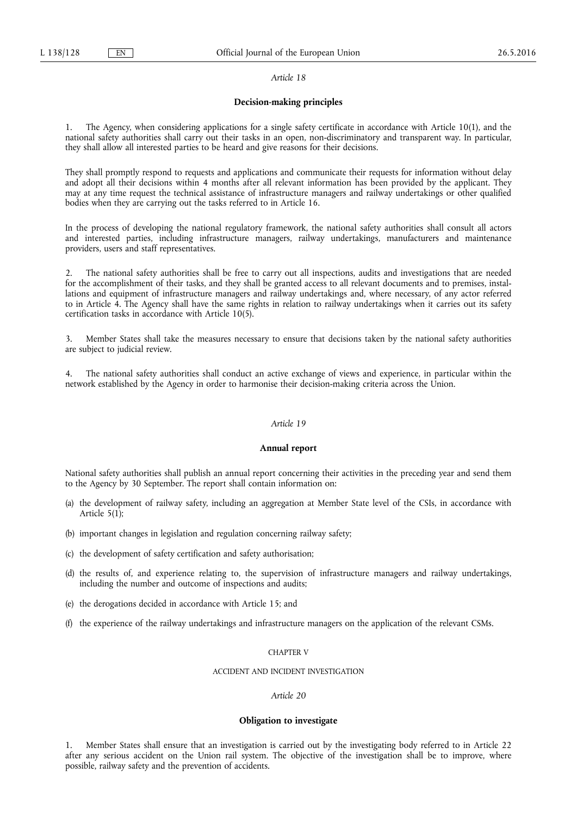#### *Article 18*

## **Decision-making principles**

1. The Agency, when considering applications for a single safety certificate in accordance with Article 10(1), and the national safety authorities shall carry out their tasks in an open, non-discriminatory and transparent way. In particular, they shall allow all interested parties to be heard and give reasons for their decisions.

They shall promptly respond to requests and applications and communicate their requests for information without delay and adopt all their decisions within 4 months after all relevant information has been provided by the applicant. They may at any time request the technical assistance of infrastructure managers and railway undertakings or other qualified bodies when they are carrying out the tasks referred to in Article 16.

In the process of developing the national regulatory framework, the national safety authorities shall consult all actors and interested parties, including infrastructure managers, railway undertakings, manufacturers and maintenance providers, users and staff representatives.

2. The national safety authorities shall be free to carry out all inspections, audits and investigations that are needed for the accomplishment of their tasks, and they shall be granted access to all relevant documents and to premises, installations and equipment of infrastructure managers and railway undertakings and, where necessary, of any actor referred to in Article 4. The Agency shall have the same rights in relation to railway undertakings when it carries out its safety certification tasks in accordance with Article 10(5).

3. Member States shall take the measures necessary to ensure that decisions taken by the national safety authorities are subject to judicial review.

The national safety authorities shall conduct an active exchange of views and experience, in particular within the network established by the Agency in order to harmonise their decision-making criteria across the Union.

#### *Article 19*

#### **Annual report**

National safety authorities shall publish an annual report concerning their activities in the preceding year and send them to the Agency by 30 September. The report shall contain information on:

- (a) the development of railway safety, including an aggregation at Member State level of the CSIs, in accordance with Article 5(1);
- (b) important changes in legislation and regulation concerning railway safety;
- (c) the development of safety certification and safety authorisation;
- (d) the results of, and experience relating to, the supervision of infrastructure managers and railway undertakings, including the number and outcome of inspections and audits;
- (e) the derogations decided in accordance with Article 15; and
- (f) the experience of the railway undertakings and infrastructure managers on the application of the relevant CSMs.

# CHAPTER V

## ACCIDENT AND INCIDENT INVESTIGATION

## *Article 20*

#### **Obligation to investigate**

1. Member States shall ensure that an investigation is carried out by the investigating body referred to in Article 22 after any serious accident on the Union rail system. The objective of the investigation shall be to improve, where possible, railway safety and the prevention of accidents.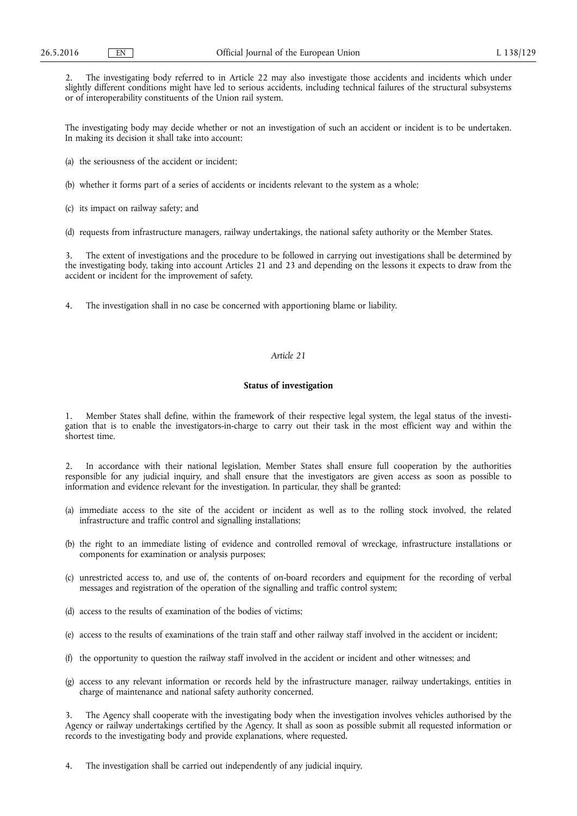2. The investigating body referred to in Article 22 may also investigate those accidents and incidents which under slightly different conditions might have led to serious accidents, including technical failures of the structural subsystems or of interoperability constituents of the Union rail system.

The investigating body may decide whether or not an investigation of such an accident or incident is to be undertaken. In making its decision it shall take into account:

(a) the seriousness of the accident or incident;

(b) whether it forms part of a series of accidents or incidents relevant to the system as a whole;

(c) its impact on railway safety; and

(d) requests from infrastructure managers, railway undertakings, the national safety authority or the Member States.

3. The extent of investigations and the procedure to be followed in carrying out investigations shall be determined by the investigating body, taking into account Articles 21 and 23 and depending on the lessons it expects to draw from the accident or incident for the improvement of safety.

4. The investigation shall in no case be concerned with apportioning blame or liability.

# *Article 21*

# **Status of investigation**

1. Member States shall define, within the framework of their respective legal system, the legal status of the investigation that is to enable the investigators-in-charge to carry out their task in the most efficient way and within the shortest time.

2. In accordance with their national legislation, Member States shall ensure full cooperation by the authorities responsible for any judicial inquiry, and shall ensure that the investigators are given access as soon as possible to information and evidence relevant for the investigation. In particular, they shall be granted:

- (a) immediate access to the site of the accident or incident as well as to the rolling stock involved, the related infrastructure and traffic control and signalling installations;
- (b) the right to an immediate listing of evidence and controlled removal of wreckage, infrastructure installations or components for examination or analysis purposes;
- (c) unrestricted access to, and use of, the contents of on-board recorders and equipment for the recording of verbal messages and registration of the operation of the signalling and traffic control system;
- (d) access to the results of examination of the bodies of victims;
- (e) access to the results of examinations of the train staff and other railway staff involved in the accident or incident;
- (f) the opportunity to question the railway staff involved in the accident or incident and other witnesses; and
- (g) access to any relevant information or records held by the infrastructure manager, railway undertakings, entities in charge of maintenance and national safety authority concerned.

3. The Agency shall cooperate with the investigating body when the investigation involves vehicles authorised by the Agency or railway undertakings certified by the Agency. It shall as soon as possible submit all requested information or records to the investigating body and provide explanations, where requested.

4. The investigation shall be carried out independently of any judicial inquiry.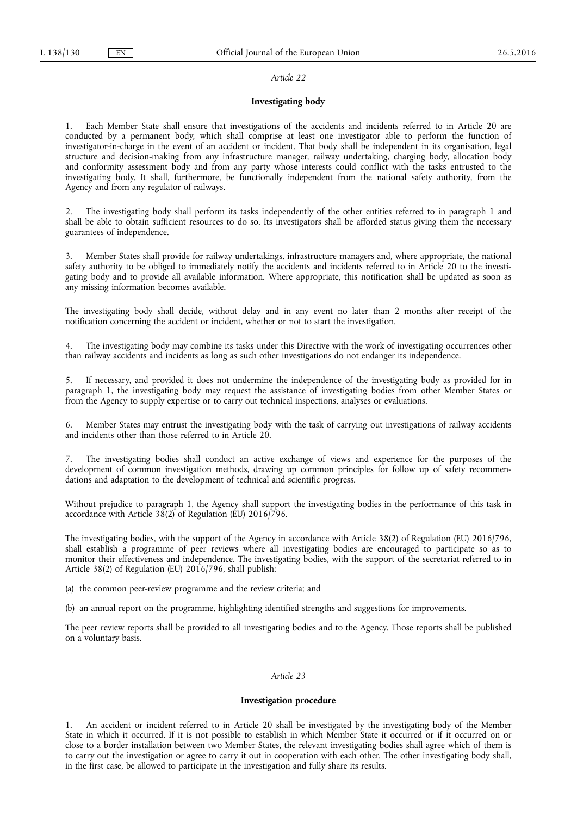#### *Article 22*

## **Investigating body**

1. Each Member State shall ensure that investigations of the accidents and incidents referred to in Article 20 are conducted by a permanent body, which shall comprise at least one investigator able to perform the function of investigator-in-charge in the event of an accident or incident. That body shall be independent in its organisation, legal structure and decision-making from any infrastructure manager, railway undertaking, charging body, allocation body and conformity assessment body and from any party whose interests could conflict with the tasks entrusted to the investigating body. It shall, furthermore, be functionally independent from the national safety authority, from the Agency and from any regulator of railways.

2. The investigating body shall perform its tasks independently of the other entities referred to in paragraph 1 and shall be able to obtain sufficient resources to do so. Its investigators shall be afforded status giving them the necessary guarantees of independence.

3. Member States shall provide for railway undertakings, infrastructure managers and, where appropriate, the national safety authority to be obliged to immediately notify the accidents and incidents referred to in Article 20 to the investigating body and to provide all available information. Where appropriate, this notification shall be updated as soon as any missing information becomes available.

The investigating body shall decide, without delay and in any event no later than 2 months after receipt of the notification concerning the accident or incident, whether or not to start the investigation.

The investigating body may combine its tasks under this Directive with the work of investigating occurrences other than railway accidents and incidents as long as such other investigations do not endanger its independence.

5. If necessary, and provided it does not undermine the independence of the investigating body as provided for in paragraph 1, the investigating body may request the assistance of investigating bodies from other Member States or from the Agency to supply expertise or to carry out technical inspections, analyses or evaluations.

6. Member States may entrust the investigating body with the task of carrying out investigations of railway accidents and incidents other than those referred to in Article 20.

The investigating bodies shall conduct an active exchange of views and experience for the purposes of the development of common investigation methods, drawing up common principles for follow up of safety recommendations and adaptation to the development of technical and scientific progress.

Without prejudice to paragraph 1, the Agency shall support the investigating bodies in the performance of this task in accordance with Article  $38(2)$  of Regulation (EU) 2016/796.

The investigating bodies, with the support of the Agency in accordance with Article 38(2) of Regulation (EU) 2016/796, shall establish a programme of peer reviews where all investigating bodies are encouraged to participate so as to monitor their effectiveness and independence. The investigating bodies, with the support of the secretariat referred to in Article 38(2) of Regulation (EU) 2016/796, shall publish:

(a) the common peer-review programme and the review criteria; and

(b) an annual report on the programme, highlighting identified strengths and suggestions for improvements.

The peer review reports shall be provided to all investigating bodies and to the Agency. Those reports shall be published on a voluntary basis.

## *Article 23*

## **Investigation procedure**

1. An accident or incident referred to in Article 20 shall be investigated by the investigating body of the Member State in which it occurred. If it is not possible to establish in which Member State it occurred or if it occurred on or close to a border installation between two Member States, the relevant investigating bodies shall agree which of them is to carry out the investigation or agree to carry it out in cooperation with each other. The other investigating body shall, in the first case, be allowed to participate in the investigation and fully share its results.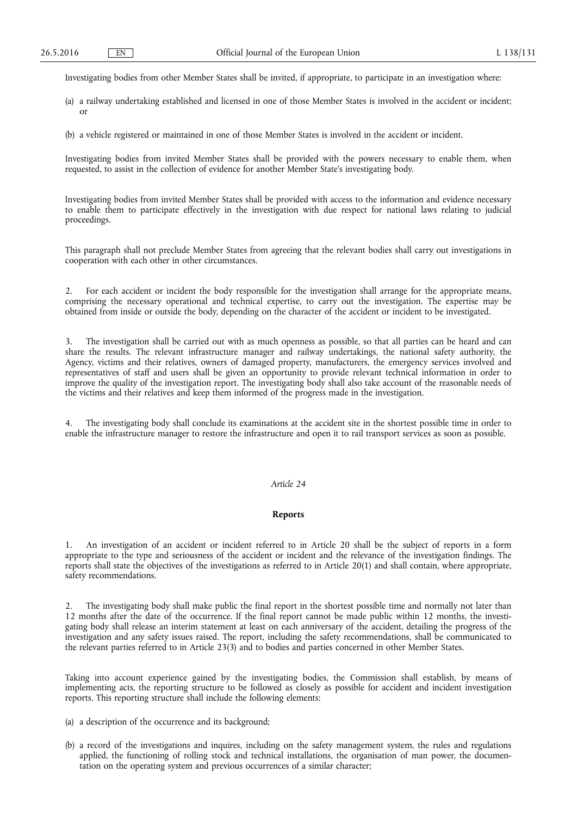Investigating bodies from other Member States shall be invited, if appropriate, to participate in an investigation where:

- (a) a railway undertaking established and licensed in one of those Member States is involved in the accident or incident; or
- (b) a vehicle registered or maintained in one of those Member States is involved in the accident or incident.

Investigating bodies from invited Member States shall be provided with the powers necessary to enable them, when requested, to assist in the collection of evidence for another Member State's investigating body.

Investigating bodies from invited Member States shall be provided with access to the information and evidence necessary to enable them to participate effectively in the investigation with due respect for national laws relating to judicial proceedings.

This paragraph shall not preclude Member States from agreeing that the relevant bodies shall carry out investigations in cooperation with each other in other circumstances.

2. For each accident or incident the body responsible for the investigation shall arrange for the appropriate means, comprising the necessary operational and technical expertise, to carry out the investigation. The expertise may be obtained from inside or outside the body, depending on the character of the accident or incident to be investigated.

The investigation shall be carried out with as much openness as possible, so that all parties can be heard and can share the results. The relevant infrastructure manager and railway undertakings, the national safety authority, the Agency, victims and their relatives, owners of damaged property, manufacturers, the emergency services involved and representatives of staff and users shall be given an opportunity to provide relevant technical information in order to improve the quality of the investigation report. The investigating body shall also take account of the reasonable needs of the victims and their relatives and keep them informed of the progress made in the investigation.

The investigating body shall conclude its examinations at the accident site in the shortest possible time in order to enable the infrastructure manager to restore the infrastructure and open it to rail transport services as soon as possible.

# *Article 24*

# **Reports**

1. An investigation of an accident or incident referred to in Article 20 shall be the subject of reports in a form appropriate to the type and seriousness of the accident or incident and the relevance of the investigation findings. The reports shall state the objectives of the investigations as referred to in Article 20(1) and shall contain, where appropriate, safety recommendations.

2. The investigating body shall make public the final report in the shortest possible time and normally not later than 12 months after the date of the occurrence. If the final report cannot be made public within 12 months, the investigating body shall release an interim statement at least on each anniversary of the accident, detailing the progress of the investigation and any safety issues raised. The report, including the safety recommendations, shall be communicated to the relevant parties referred to in Article 23(3) and to bodies and parties concerned in other Member States.

Taking into account experience gained by the investigating bodies, the Commission shall establish, by means of implementing acts, the reporting structure to be followed as closely as possible for accident and incident investigation reports. This reporting structure shall include the following elements:

- (a) a description of the occurrence and its background;
- (b) a record of the investigations and inquires, including on the safety management system, the rules and regulations applied, the functioning of rolling stock and technical installations, the organisation of man power, the documentation on the operating system and previous occurrences of a similar character;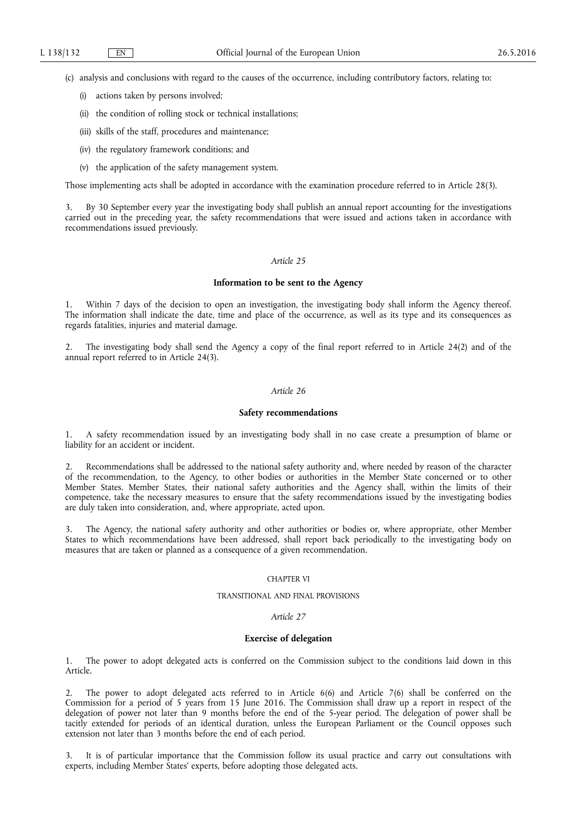(c) analysis and conclusions with regard to the causes of the occurrence, including contributory factors, relating to:

- (i) actions taken by persons involved;
- (ii) the condition of rolling stock or technical installations;
- (iii) skills of the staff, procedures and maintenance;
- (iv) the regulatory framework conditions; and
- (v) the application of the safety management system.

Those implementing acts shall be adopted in accordance with the examination procedure referred to in Article 28(3).

By 30 September every year the investigating body shall publish an annual report accounting for the investigations carried out in the preceding year, the safety recommendations that were issued and actions taken in accordance with recommendations issued previously.

# *Article 25*

### **Information to be sent to the Agency**

1. Within 7 days of the decision to open an investigation, the investigating body shall inform the Agency thereof. The information shall indicate the date, time and place of the occurrence, as well as its type and its consequences as regards fatalities, injuries and material damage.

2. The investigating body shall send the Agency a copy of the final report referred to in Article 24(2) and of the annual report referred to in Article 24(3).

## *Article 26*

#### **Safety recommendations**

1. A safety recommendation issued by an investigating body shall in no case create a presumption of blame or liability for an accident or incident.

2. Recommendations shall be addressed to the national safety authority and, where needed by reason of the character of the recommendation, to the Agency, to other bodies or authorities in the Member State concerned or to other Member States. Member States, their national safety authorities and the Agency shall, within the limits of their competence, take the necessary measures to ensure that the safety recommendations issued by the investigating bodies are duly taken into consideration, and, where appropriate, acted upon.

3. The Agency, the national safety authority and other authorities or bodies or, where appropriate, other Member States to which recommendations have been addressed, shall report back periodically to the investigating body on measures that are taken or planned as a consequence of a given recommendation.

# CHAPTER VI

#### TRANSITIONAL AND FINAL PROVISIONS

#### *Article 27*

#### **Exercise of delegation**

1. The power to adopt delegated acts is conferred on the Commission subject to the conditions laid down in this Article.

2. The power to adopt delegated acts referred to in Article 6(6) and Article 7(6) shall be conferred on the Commission for a period of 5 years from 15 June 2016. The Commission shall draw up a report in respect of the delegation of power not later than 9 months before the end of the 5-year period. The delegation of power shall be tacitly extended for periods of an identical duration, unless the European Parliament or the Council opposes such extension not later than 3 months before the end of each period.

It is of particular importance that the Commission follow its usual practice and carry out consultations with experts, including Member States' experts, before adopting those delegated acts.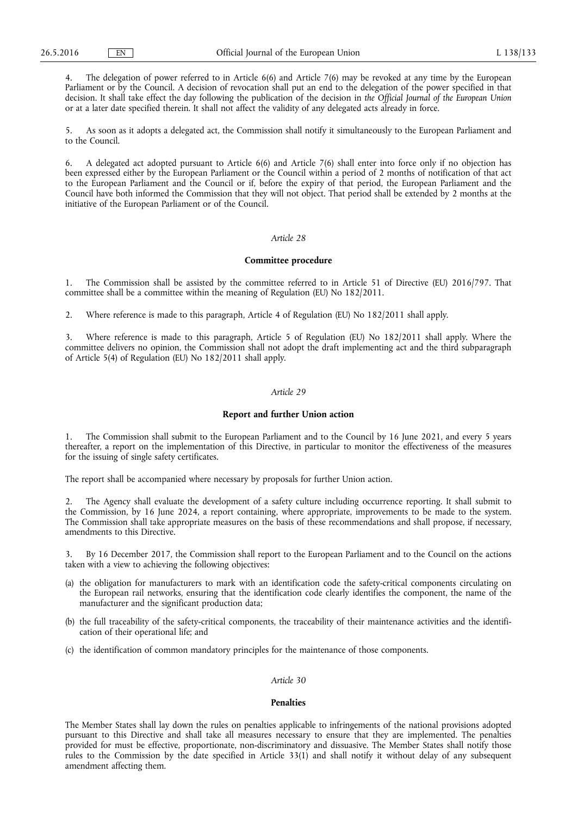4. The delegation of power referred to in Article 6(6) and Article 7(6) may be revoked at any time by the European Parliament or by the Council. A decision of revocation shall put an end to the delegation of the power specified in that decision. It shall take effect the day following the publication of the decision in *the Official Journal of the European Union*  or at a later date specified therein. It shall not affect the validity of any delegated acts already in force.

5. As soon as it adopts a delegated act, the Commission shall notify it simultaneously to the European Parliament and to the Council.

6. A delegated act adopted pursuant to Article 6(6) and Article 7(6) shall enter into force only if no objection has been expressed either by the European Parliament or the Council within a period of 2 months of notification of that act to the European Parliament and the Council or if, before the expiry of that period, the European Parliament and the Council have both informed the Commission that they will not object. That period shall be extended by 2 months at the initiative of the European Parliament or of the Council.

# *Article 28*

#### **Committee procedure**

1. The Commission shall be assisted by the committee referred to in Article 51 of Directive (EU) 2016/797. That committee shall be a committee within the meaning of Regulation (EU) No 182/2011.

2. Where reference is made to this paragraph, Article 4 of Regulation (EU) No 182/2011 shall apply.

3. Where reference is made to this paragraph, Article 5 of Regulation (EU) No 182/2011 shall apply. Where the committee delivers no opinion, the Commission shall not adopt the draft implementing act and the third subparagraph of Article 5(4) of Regulation (EU) No 182/2011 shall apply.

## *Article 29*

#### **Report and further Union action**

1. The Commission shall submit to the European Parliament and to the Council by 16 June 2021, and every 5 years thereafter, a report on the implementation of this Directive, in particular to monitor the effectiveness of the measures for the issuing of single safety certificates.

The report shall be accompanied where necessary by proposals for further Union action.

2. The Agency shall evaluate the development of a safety culture including occurrence reporting. It shall submit to the Commission, by 16 June 2024, a report containing, where appropriate, improvements to be made to the system. The Commission shall take appropriate measures on the basis of these recommendations and shall propose, if necessary, amendments to this Directive.

By 16 December 2017, the Commission shall report to the European Parliament and to the Council on the actions taken with a view to achieving the following objectives:

- (a) the obligation for manufacturers to mark with an identification code the safety-critical components circulating on the European rail networks, ensuring that the identification code clearly identifies the component, the name of the manufacturer and the significant production data;
- (b) the full traceability of the safety-critical components, the traceability of their maintenance activities and the identification of their operational life; and
- (c) the identification of common mandatory principles for the maintenance of those components.

#### *Article 30*

## **Penalties**

The Member States shall lay down the rules on penalties applicable to infringements of the national provisions adopted pursuant to this Directive and shall take all measures necessary to ensure that they are implemented. The penalties provided for must be effective, proportionate, non-discriminatory and dissuasive. The Member States shall notify those rules to the Commission by the date specified in Article 33(1) and shall notify it without delay of any subsequent amendment affecting them.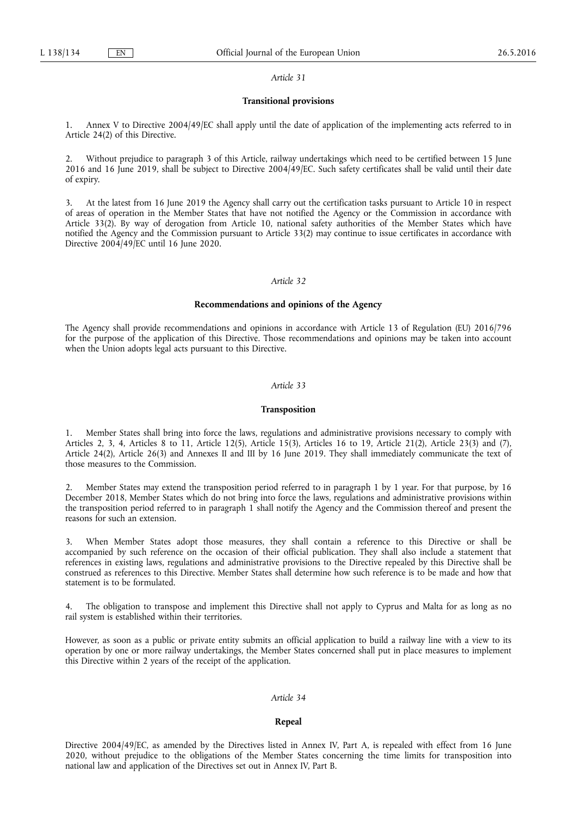#### *Article 31*

# **Transitional provisions**

1. Annex V to Directive 2004/49/EC shall apply until the date of application of the implementing acts referred to in Article 24(2) of this Directive.

2. Without prejudice to paragraph 3 of this Article, railway undertakings which need to be certified between 15 June 2016 and 16 June 2019, shall be subject to Directive 2004/49/EC. Such safety certificates shall be valid until their date of expiry.

3. At the latest from 16 June 2019 the Agency shall carry out the certification tasks pursuant to Article 10 in respect of areas of operation in the Member States that have not notified the Agency or the Commission in accordance with Article 33(2). By way of derogation from Article 10, national safety authorities of the Member States which have notified the Agency and the Commission pursuant to Article 33(2) may continue to issue certificates in accordance with Directive 2004/49/EC until 16 June 2020.

# *Article 32*

# **Recommendations and opinions of the Agency**

The Agency shall provide recommendations and opinions in accordance with Article 13 of Regulation (EU) 2016/796 for the purpose of the application of this Directive. Those recommendations and opinions may be taken into account when the Union adopts legal acts pursuant to this Directive.

## *Article 33*

#### **Transposition**

1. Member States shall bring into force the laws, regulations and administrative provisions necessary to comply with Articles 2, 3, 4, Articles 8 to 11, Article 12(5), Article 15(3), Articles 16 to 19, Article 21(2), Article 23(3) and (7), Article 24(2), Article 26(3) and Annexes II and III by 16 June 2019. They shall immediately communicate the text of those measures to the Commission.

2. Member States may extend the transposition period referred to in paragraph 1 by 1 year. For that purpose, by 16 December 2018, Member States which do not bring into force the laws, regulations and administrative provisions within the transposition period referred to in paragraph 1 shall notify the Agency and the Commission thereof and present the reasons for such an extension.

3. When Member States adopt those measures, they shall contain a reference to this Directive or shall be accompanied by such reference on the occasion of their official publication. They shall also include a statement that references in existing laws, regulations and administrative provisions to the Directive repealed by this Directive shall be construed as references to this Directive. Member States shall determine how such reference is to be made and how that statement is to be formulated.

4. The obligation to transpose and implement this Directive shall not apply to Cyprus and Malta for as long as no rail system is established within their territories.

However, as soon as a public or private entity submits an official application to build a railway line with a view to its operation by one or more railway undertakings, the Member States concerned shall put in place measures to implement this Directive within 2 years of the receipt of the application.

# *Article 34*

## **Repeal**

Directive 2004/49/EC, as amended by the Directives listed in Annex IV, Part A, is repealed with effect from 16 June 2020, without prejudice to the obligations of the Member States concerning the time limits for transposition into national law and application of the Directives set out in Annex IV, Part B.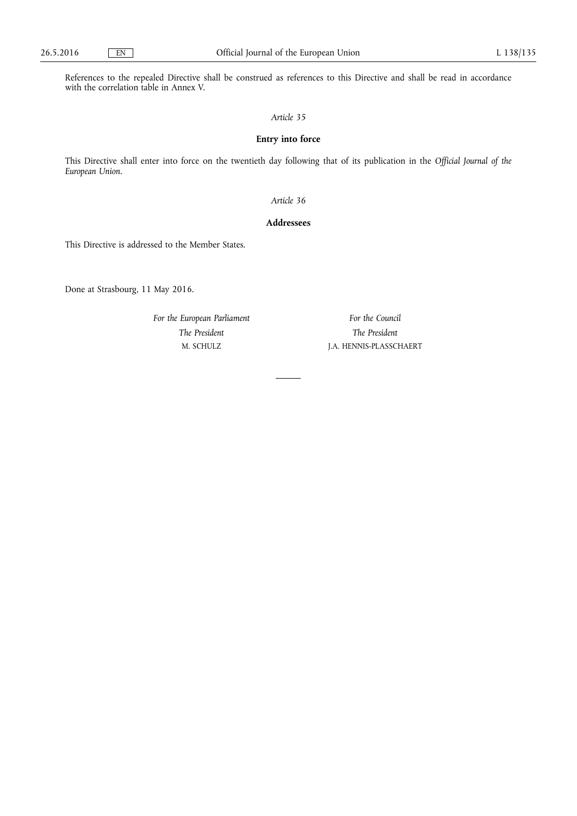References to the repealed Directive shall be construed as references to this Directive and shall be read in accordance with the correlation table in Annex V.

# *Article 35*

# **Entry into force**

This Directive shall enter into force on the twentieth day following that of its publication in the *Official Journal of the European Union*.

*Article 36* 

# **Addressees**

This Directive is addressed to the Member States.

Done at Strasbourg, 11 May 2016.

*For the European Parliament The President*  M. SCHULZ

*For the Council The President*  J.A. HENNIS-PLASSCHAERT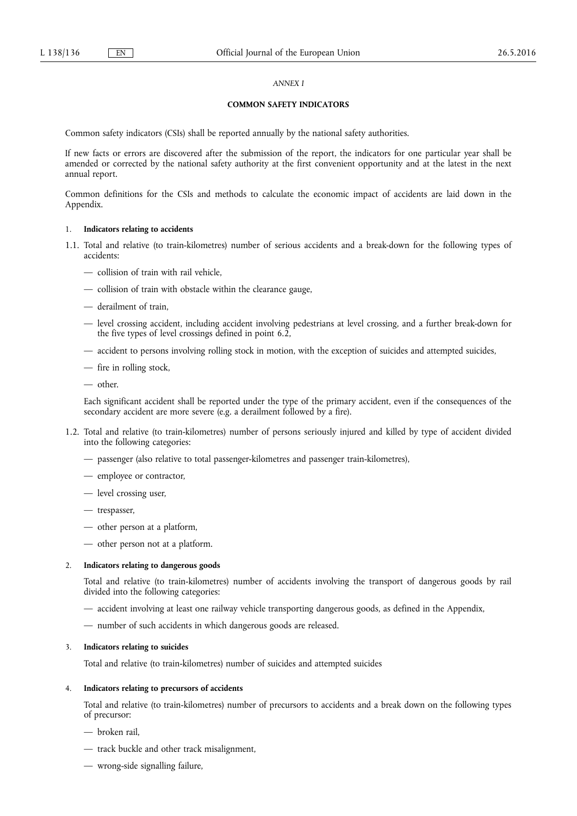# *ANNEX I*

# **COMMON SAFETY INDICATORS**

Common safety indicators (CSIs) shall be reported annually by the national safety authorities.

If new facts or errors are discovered after the submission of the report, the indicators for one particular year shall be amended or corrected by the national safety authority at the first convenient opportunity and at the latest in the next annual report.

Common definitions for the CSIs and methods to calculate the economic impact of accidents are laid down in the Appendix.

## 1. **Indicators relating to accidents**

- 1.1. Total and relative (to train-kilometres) number of serious accidents and a break-down for the following types of accidents:
	- collision of train with rail vehicle,
	- collision of train with obstacle within the clearance gauge,
	- derailment of train,
	- level crossing accident, including accident involving pedestrians at level crossing, and a further break-down for the five types of level crossings defined in point 6.2,
	- accident to persons involving rolling stock in motion, with the exception of suicides and attempted suicides,
	- fire in rolling stock,
	- other.

Each significant accident shall be reported under the type of the primary accident, even if the consequences of the secondary accident are more severe (e.g. a derailment followed by a fire).

- 1.2. Total and relative (to train-kilometres) number of persons seriously injured and killed by type of accident divided into the following categories:
	- passenger (also relative to total passenger-kilometres and passenger train-kilometres),
	- employee or contractor,
	- level crossing user,
	- trespasser,
	- other person at a platform,
	- other person not at a platform.

## 2. **Indicators relating to dangerous goods**

Total and relative (to train-kilometres) number of accidents involving the transport of dangerous goods by rail divided into the following categories:

- accident involving at least one railway vehicle transporting dangerous goods, as defined in the Appendix,
- number of such accidents in which dangerous goods are released.

### 3. **Indicators relating to suicides**

Total and relative (to train-kilometres) number of suicides and attempted suicides

## 4. **Indicators relating to precursors of accidents**

Total and relative (to train-kilometres) number of precursors to accidents and a break down on the following types of precursor:

- broken rail,
- track buckle and other track misalignment,
- wrong-side signalling failure,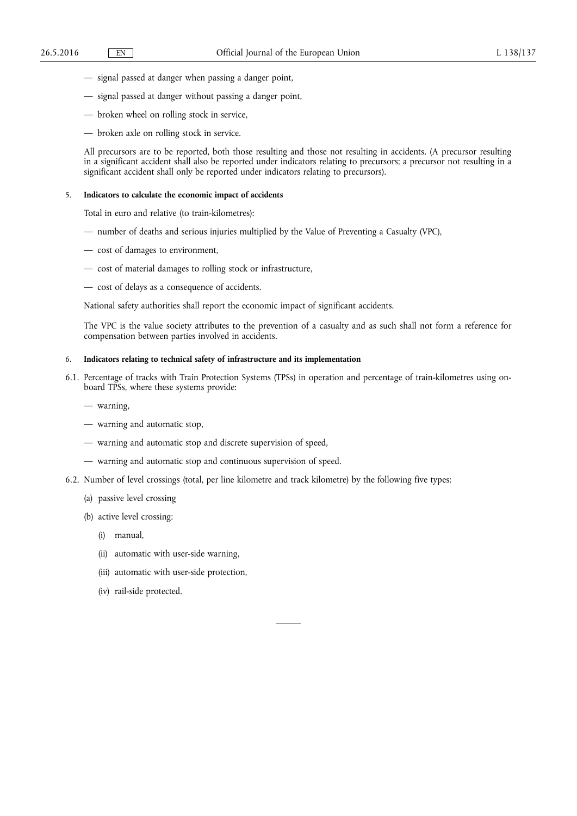- signal passed at danger when passing a danger point,
- signal passed at danger without passing a danger point,
- broken wheel on rolling stock in service,
- broken axle on rolling stock in service.

All precursors are to be reported, both those resulting and those not resulting in accidents. (A precursor resulting in a significant accident shall also be reported under indicators relating to precursors; a precursor not resulting in a significant accident shall only be reported under indicators relating to precursors).

# 5. **Indicators to calculate the economic impact of accidents**

Total in euro and relative (to train-kilometres):

- number of deaths and serious injuries multiplied by the Value of Preventing a Casualty (VPC),
- cost of damages to environment,
- cost of material damages to rolling stock or infrastructure,
- cost of delays as a consequence of accidents.

National safety authorities shall report the economic impact of significant accidents.

The VPC is the value society attributes to the prevention of a casualty and as such shall not form a reference for compensation between parties involved in accidents.

# 6. **Indicators relating to technical safety of infrastructure and its implementation**

- 6.1. Percentage of tracks with Train Protection Systems (TPSs) in operation and percentage of train-kilometres using onboard TPSs, where these systems provide:
	- warning,
	- warning and automatic stop,
	- warning and automatic stop and discrete supervision of speed,
	- warning and automatic stop and continuous supervision of speed.
- 6.2. Number of level crossings (total, per line kilometre and track kilometre) by the following five types:
	- (a) passive level crossing
	- (b) active level crossing:
		- (i) manual,
		- (ii) automatic with user-side warning,
		- (iii) automatic with user-side protection,
		- (iv) rail-side protected.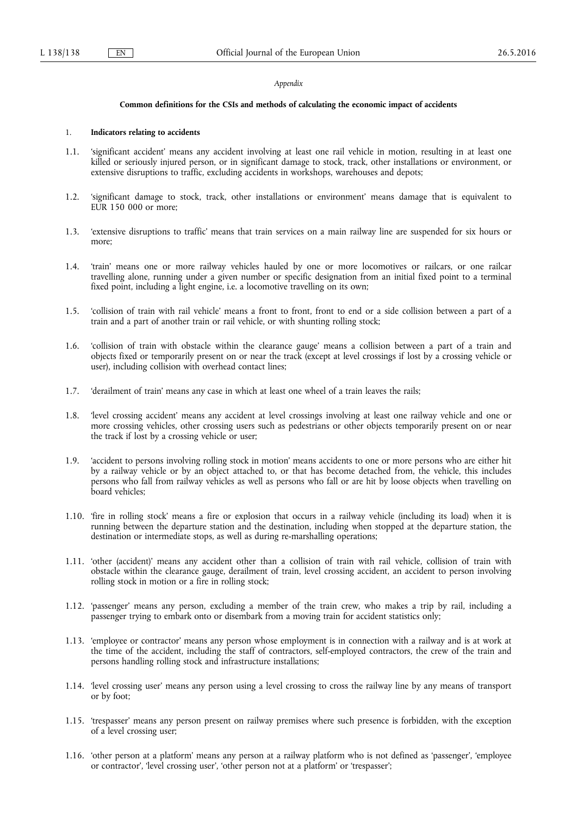#### *Appendix*

#### **Common definitions for the CSIs and methods of calculating the economic impact of accidents**

#### 1. **Indicators relating to accidents**

- 1.1. 'significant accident' means any accident involving at least one rail vehicle in motion, resulting in at least one killed or seriously injured person, or in significant damage to stock, track, other installations or environment, or extensive disruptions to traffic, excluding accidents in workshops, warehouses and depots;
- 1.2. 'significant damage to stock, track, other installations or environment' means damage that is equivalent to EUR 150 000 or more;
- 1.3. 'extensive disruptions to traffic' means that train services on a main railway line are suspended for six hours or more;
- 1.4. 'train' means one or more railway vehicles hauled by one or more locomotives or railcars, or one railcar travelling alone, running under a given number or specific designation from an initial fixed point to a terminal fixed point, including a light engine, i.e. a locomotive travelling on its own;
- 1.5. 'collision of train with rail vehicle' means a front to front, front to end or a side collision between a part of a train and a part of another train or rail vehicle, or with shunting rolling stock;
- 1.6. 'collision of train with obstacle within the clearance gauge' means a collision between a part of a train and objects fixed or temporarily present on or near the track (except at level crossings if lost by a crossing vehicle or user), including collision with overhead contact lines;
- 1.7. 'derailment of train' means any case in which at least one wheel of a train leaves the rails;
- 1.8. 'level crossing accident' means any accident at level crossings involving at least one railway vehicle and one or more crossing vehicles, other crossing users such as pedestrians or other objects temporarily present on or near the track if lost by a crossing vehicle or user;
- 1.9. 'accident to persons involving rolling stock in motion' means accidents to one or more persons who are either hit by a railway vehicle or by an object attached to, or that has become detached from, the vehicle, this includes persons who fall from railway vehicles as well as persons who fall or are hit by loose objects when travelling on board vehicles;
- 1.10. 'fire in rolling stock' means a fire or explosion that occurs in a railway vehicle (including its load) when it is running between the departure station and the destination, including when stopped at the departure station, the destination or intermediate stops, as well as during re-marshalling operations;
- 1.11. 'other (accident)' means any accident other than a collision of train with rail vehicle, collision of train with obstacle within the clearance gauge, derailment of train, level crossing accident, an accident to person involving rolling stock in motion or a fire in rolling stock;
- 1.12. 'passenger' means any person, excluding a member of the train crew, who makes a trip by rail, including a passenger trying to embark onto or disembark from a moving train for accident statistics only;
- 1.13. 'employee or contractor' means any person whose employment is in connection with a railway and is at work at the time of the accident, including the staff of contractors, self-employed contractors, the crew of the train and persons handling rolling stock and infrastructure installations;
- 1.14. 'level crossing user' means any person using a level crossing to cross the railway line by any means of transport or by foot;
- 1.15. 'trespasser' means any person present on railway premises where such presence is forbidden, with the exception of a level crossing user;
- 1.16. 'other person at a platform' means any person at a railway platform who is not defined as 'passenger', 'employee or contractor', 'level crossing user', 'other person not at a platform' or 'trespasser';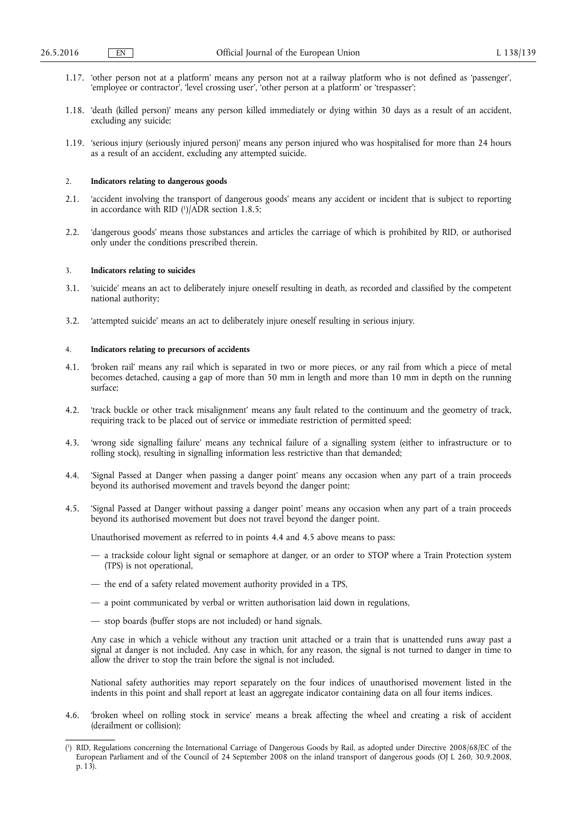- 1.17. 'other person not at a platform' means any person not at a railway platform who is not defined as 'passenger', 'employee or contractor', 'level crossing user', 'other person at a platform' or 'trespasser';
- 1.18. 'death (killed person)' means any person killed immediately or dying within 30 days as a result of an accident, excluding any suicide;
- 1.19. 'serious injury (seriously injured person)' means any person injured who was hospitalised for more than 24 hours as a result of an accident, excluding any attempted suicide.

## 2. **Indicators relating to dangerous goods**

- 2.1. 'accident involving the transport of dangerous goods' means any accident or incident that is subject to reporting in accordance with RID ( 1 )/ADR section 1.8.5;
- 2.2. 'dangerous goods' means those substances and articles the carriage of which is prohibited by RID, or authorised only under the conditions prescribed therein.

## 3. **Indicators relating to suicides**

- 3.1. 'suicide' means an act to deliberately injure oneself resulting in death, as recorded and classified by the competent national authority;
- 3.2. 'attempted suicide' means an act to deliberately injure oneself resulting in serious injury.

## 4. **Indicators relating to precursors of accidents**

- 4.1. 'broken rail' means any rail which is separated in two or more pieces, or any rail from which a piece of metal becomes detached, causing a gap of more than 50 mm in length and more than 10 mm in depth on the running surface;
- 4.2. 'track buckle or other track misalignment' means any fault related to the continuum and the geometry of track, requiring track to be placed out of service or immediate restriction of permitted speed;
- 4.3. 'wrong side signalling failure' means any technical failure of a signalling system (either to infrastructure or to rolling stock), resulting in signalling information less restrictive than that demanded;
- 4.4. 'Signal Passed at Danger when passing a danger point' means any occasion when any part of a train proceeds beyond its authorised movement and travels beyond the danger point;
- 4.5. 'Signal Passed at Danger without passing a danger point' means any occasion when any part of a train proceeds beyond its authorised movement but does not travel beyond the danger point.

Unauthorised movement as referred to in points 4.4 and 4.5 above means to pass:

- a trackside colour light signal or semaphore at danger, or an order to STOP where a Train Protection system (TPS) is not operational,
- the end of a safety related movement authority provided in a TPS,
- a point communicated by verbal or written authorisation laid down in regulations,
- stop boards (buffer stops are not included) or hand signals.

Any case in which a vehicle without any traction unit attached or a train that is unattended runs away past a signal at danger is not included. Any case in which, for any reason, the signal is not turned to danger in time to allow the driver to stop the train before the signal is not included.

National safety authorities may report separately on the four indices of unauthorised movement listed in the indents in this point and shall report at least an aggregate indicator containing data on all four items indices.

4.6. 'broken wheel on rolling stock in service' means a break affecting the wheel and creating a risk of accident (derailment or collision);

<sup>(</sup> 1 ) RID, Regulations concerning the International Carriage of Dangerous Goods by Rail, as adopted under Directive 2008/68/EC of the European Parliament and of the Council of 24 September 2008 on the inland transport of dangerous goods (OJ L 260, 30.9.2008, p. 13).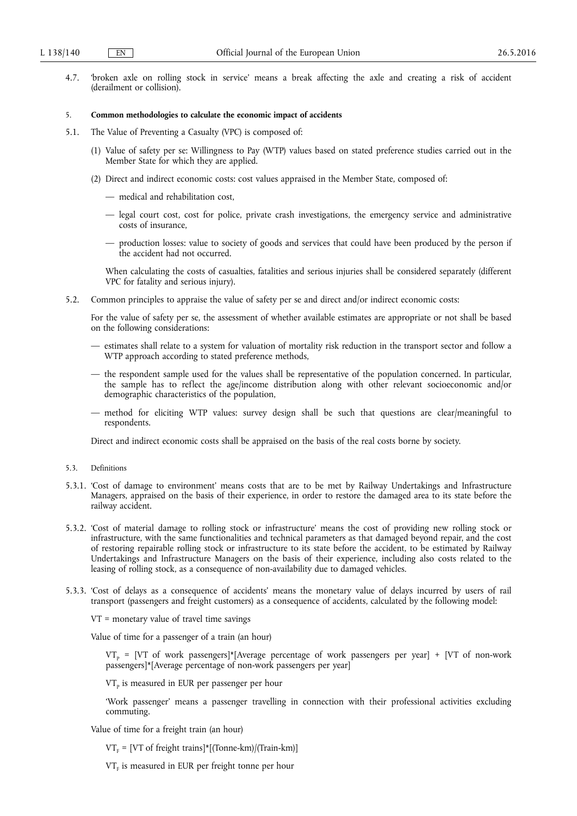4.7. 'broken axle on rolling stock in service' means a break affecting the axle and creating a risk of accident (derailment or collision).

## 5. **Common methodologies to calculate the economic impact of accidents**

- 5.1. The Value of Preventing a Casualty (VPC) is composed of:
	- (1) Value of safety per se: Willingness to Pay (WTP) values based on stated preference studies carried out in the Member State for which they are applied.
	- (2) Direct and indirect economic costs: cost values appraised in the Member State, composed of:
		- medical and rehabilitation cost,
		- legal court cost, cost for police, private crash investigations, the emergency service and administrative costs of insurance,
		- production losses: value to society of goods and services that could have been produced by the person if the accident had not occurred.

When calculating the costs of casualties, fatalities and serious injuries shall be considered separately (different VPC for fatality and serious injury).

5.2. Common principles to appraise the value of safety per se and direct and/or indirect economic costs:

For the value of safety per se, the assessment of whether available estimates are appropriate or not shall be based on the following considerations:

- estimates shall relate to a system for valuation of mortality risk reduction in the transport sector and follow a WTP approach according to stated preference methods,
- the respondent sample used for the values shall be representative of the population concerned. In particular, the sample has to reflect the age/income distribution along with other relevant socioeconomic and/or demographic characteristics of the population,
- method for eliciting WTP values: survey design shall be such that questions are clear/meaningful to respondents.

Direct and indirect economic costs shall be appraised on the basis of the real costs borne by society.

- 5.3. Definitions
- 5.3.1. 'Cost of damage to environment' means costs that are to be met by Railway Undertakings and Infrastructure Managers, appraised on the basis of their experience, in order to restore the damaged area to its state before the railway accident.
- 5.3.2. 'Cost of material damage to rolling stock or infrastructure' means the cost of providing new rolling stock or infrastructure, with the same functionalities and technical parameters as that damaged beyond repair, and the cost of restoring repairable rolling stock or infrastructure to its state before the accident, to be estimated by Railway Undertakings and Infrastructure Managers on the basis of their experience, including also costs related to the leasing of rolling stock, as a consequence of non-availability due to damaged vehicles.
- 5.3.3. 'Cost of delays as a consequence of accidents' means the monetary value of delays incurred by users of rail transport (passengers and freight customers) as a consequence of accidents, calculated by the following model:

VT = monetary value of travel time savings

Value of time for a passenger of a train (an hour)

 $VT<sub>p</sub> = [VT of work passengers]*[Average percentage of work passengers per year] + [VT of non-work$ passengers]\*[Average percentage of non-work passengers per year]

 $VT<sub>p</sub>$  is measured in EUR per passenger per hour

'Work passenger' means a passenger travelling in connection with their professional activities excluding commuting.

Value of time for a freight train (an hour)

 $VT_F = [VT of freight trains]*[(Tonne-km)/(Train-km)]$ 

 $VT_F$  is measured in EUR per freight tonne per hour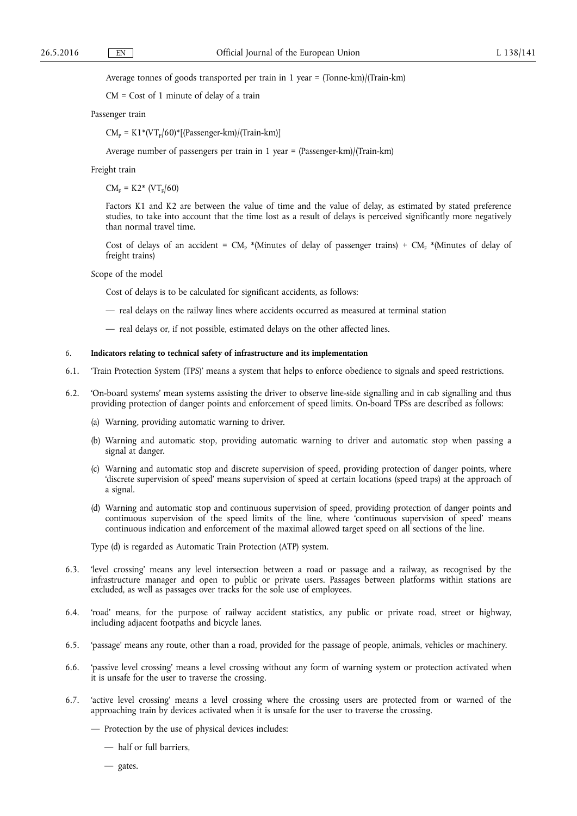Average tonnes of goods transported per train in 1 year = (Tonne-km)/(Train-km)

CM = Cost of 1 minute of delay of a train

#### Passenger train

 $CM_p = K1*(VT_p/60)*[(Passenger-km)/(Train-km)]$ 

Average number of passengers per train in 1 year = (Passenger-km)/(Train-km)

# Freight train

 $CM_F = K2^* (VT_F/60)$ 

Factors K1 and K2 are between the value of time and the value of delay, as estimated by stated preference studies, to take into account that the time lost as a result of delays is perceived significantly more negatively than normal travel time.

Cost of delays of an accident =  $CM_p$  \*(Minutes of delay of passenger trains) +  $CM_p$  \*(Minutes of delay of freight trains)

Scope of the model

Cost of delays is to be calculated for significant accidents, as follows:

- real delays on the railway lines where accidents occurred as measured at terminal station
- real delays or, if not possible, estimated delays on the other affected lines.

#### 6. **Indicators relating to technical safety of infrastructure and its implementation**

- 6.1. 'Train Protection System (TPS)' means a system that helps to enforce obedience to signals and speed restrictions.
- 6.2. 'On-board systems' mean systems assisting the driver to observe line-side signalling and in cab signalling and thus providing protection of danger points and enforcement of speed limits. On-board TPSs are described as follows:
	- (a) Warning, providing automatic warning to driver.
	- (b) Warning and automatic stop, providing automatic warning to driver and automatic stop when passing a signal at danger.
	- (c) Warning and automatic stop and discrete supervision of speed, providing protection of danger points, where 'discrete supervision of speed' means supervision of speed at certain locations (speed traps) at the approach of a signal.
	- (d) Warning and automatic stop and continuous supervision of speed, providing protection of danger points and continuous supervision of the speed limits of the line, where 'continuous supervision of speed' means continuous indication and enforcement of the maximal allowed target speed on all sections of the line.

Type (d) is regarded as Automatic Train Protection (ATP) system.

- 6.3. 'level crossing' means any level intersection between a road or passage and a railway, as recognised by the infrastructure manager and open to public or private users. Passages between platforms within stations are excluded, as well as passages over tracks for the sole use of employees.
- 6.4. 'road' means, for the purpose of railway accident statistics, any public or private road, street or highway, including adjacent footpaths and bicycle lanes.
- 6.5. 'passage' means any route, other than a road, provided for the passage of people, animals, vehicles or machinery.
- 6.6. 'passive level crossing' means a level crossing without any form of warning system or protection activated when it is unsafe for the user to traverse the crossing.
- 6.7. 'active level crossing' means a level crossing where the crossing users are protected from or warned of the approaching train by devices activated when it is unsafe for the user to traverse the crossing.
	- Protection by the use of physical devices includes:
		- half or full barriers,
		- gates.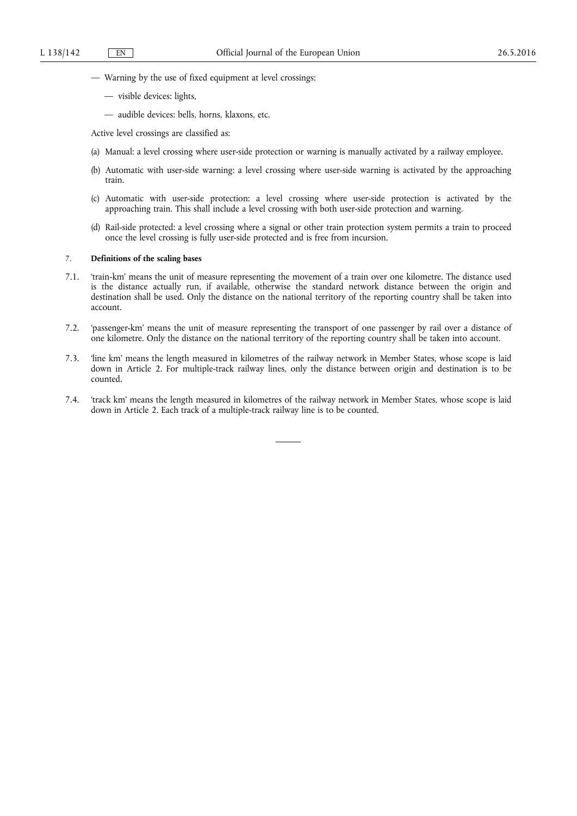- Warning by the use of fixed equipment at level crossings:
	- visible devices: lights,
	- audible devices: bells, horns, klaxons, etc.

Active level crossings are classified as:

- (a) Manual: a level crossing where user-side protection or warning is manually activated by a railway employee.
- (b) Automatic with user-side warning: a level crossing where user-side warning is activated by the approaching train.
- (c) Automatic with user-side protection: a level crossing where user-side protection is activated by the approaching train. This shall include a level crossing with both user-side protection and warning.
- (d) Rail-side protected: a level crossing where a signal or other train protection system permits a train to proceed once the level crossing is fully user-side protected and is free from incursion.

# 7. **Definitions of the scaling bases**

- 7.1. 'train-km' means the unit of measure representing the movement of a train over one kilometre. The distance used is the distance actually run, if available, otherwise the standard network distance between the origin and destination shall be used. Only the distance on the national territory of the reporting country shall be taken into account.
- 7.2. 'passenger-km' means the unit of measure representing the transport of one passenger by rail over a distance of one kilometre. Only the distance on the national territory of the reporting country shall be taken into account.
- 7.3. 'line km' means the length measured in kilometres of the railway network in Member States, whose scope is laid down in Article 2. For multiple-track railway lines, only the distance between origin and destination is to be counted.
- 7.4. 'track km' means the length measured in kilometres of the railway network in Member States, whose scope is laid down in Article 2. Each track of a multiple-track railway line is to be counted.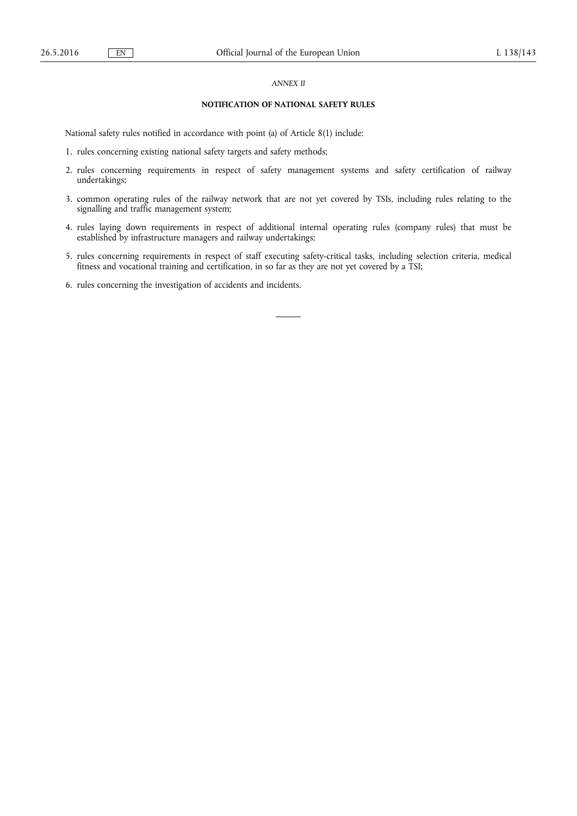# *ANNEX II*

# **NOTIFICATION OF NATIONAL SAFETY RULES**

National safety rules notified in accordance with point (a) of Article 8(1) include:

- 1. rules concerning existing national safety targets and safety methods;
- 2. rules concerning requirements in respect of safety management systems and safety certification of railway undertakings;
- 3. common operating rules of the railway network that are not yet covered by TSIs, including rules relating to the signalling and traffic management system;
- 4. rules laying down requirements in respect of additional internal operating rules (company rules) that must be established by infrastructure managers and railway undertakings;
- 5. rules concerning requirements in respect of staff executing safety-critical tasks, including selection criteria, medical fitness and vocational training and certification, in so far as they are not yet covered by a TSI;
- 6. rules concerning the investigation of accidents and incidents.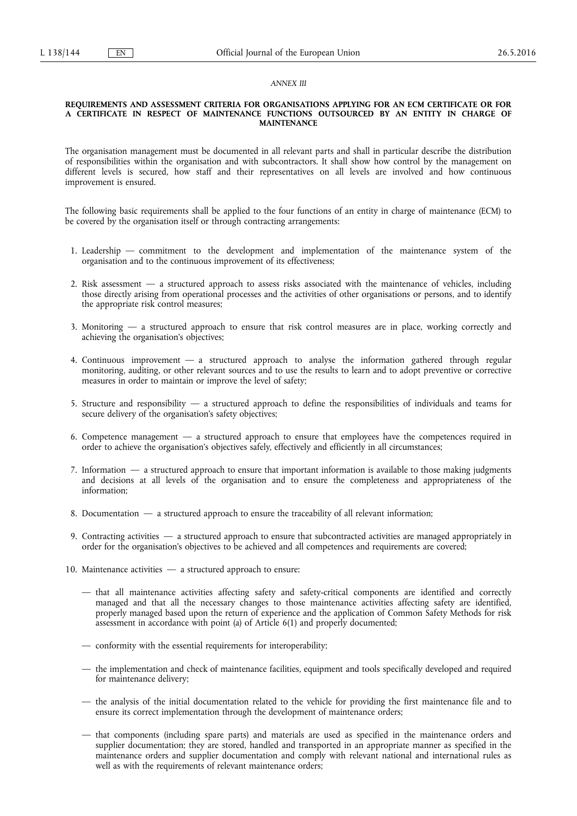# *ANNEX III*

#### **REQUIREMENTS AND ASSESSMENT CRITERIA FOR ORGANISATIONS APPLYING FOR AN ECM CERTIFICATE OR FOR A CERTIFICATE IN RESPECT OF MAINTENANCE FUNCTIONS OUTSOURCED BY AN ENTITY IN CHARGE OF MAINTENANCE**

The organisation management must be documented in all relevant parts and shall in particular describe the distribution of responsibilities within the organisation and with subcontractors. It shall show how control by the management on different levels is secured, how staff and their representatives on all levels are involved and how continuous improvement is ensured.

The following basic requirements shall be applied to the four functions of an entity in charge of maintenance (ECM) to be covered by the organisation itself or through contracting arrangements:

- 1. Leadership commitment to the development and implementation of the maintenance system of the organisation and to the continuous improvement of its effectiveness;
- 2. Risk assessment a structured approach to assess risks associated with the maintenance of vehicles, including those directly arising from operational processes and the activities of other organisations or persons, and to identify the appropriate risk control measures;
- 3. Monitoring a structured approach to ensure that risk control measures are in place, working correctly and achieving the organisation's objectives;
- 4. Continuous improvement a structured approach to analyse the information gathered through regular monitoring, auditing, or other relevant sources and to use the results to learn and to adopt preventive or corrective measures in order to maintain or improve the level of safety;
- 5. Structure and responsibility a structured approach to define the responsibilities of individuals and teams for secure delivery of the organisation's safety objectives;
- 6. Competence management a structured approach to ensure that employees have the competences required in order to achieve the organisation's objectives safely, effectively and efficiently in all circumstances;
- 7. Information a structured approach to ensure that important information is available to those making judgments and decisions at all levels of the organisation and to ensure the completeness and appropriateness of the information;
- 8. Documentation a structured approach to ensure the traceability of all relevant information;
- 9. Contracting activities a structured approach to ensure that subcontracted activities are managed appropriately in order for the organisation's objectives to be achieved and all competences and requirements are covered;
- 10. Maintenance activities a structured approach to ensure:
	- that all maintenance activities affecting safety and safety-critical components are identified and correctly managed and that all the necessary changes to those maintenance activities affecting safety are identified, properly managed based upon the return of experience and the application of Common Safety Methods for risk assessment in accordance with point (a) of Article 6(1) and properly documented;
	- conformity with the essential requirements for interoperability;
	- the implementation and check of maintenance facilities, equipment and tools specifically developed and required for maintenance delivery;
	- the analysis of the initial documentation related to the vehicle for providing the first maintenance file and to ensure its correct implementation through the development of maintenance orders;
	- that components (including spare parts) and materials are used as specified in the maintenance orders and supplier documentation; they are stored, handled and transported in an appropriate manner as specified in the maintenance orders and supplier documentation and comply with relevant national and international rules as well as with the requirements of relevant maintenance orders;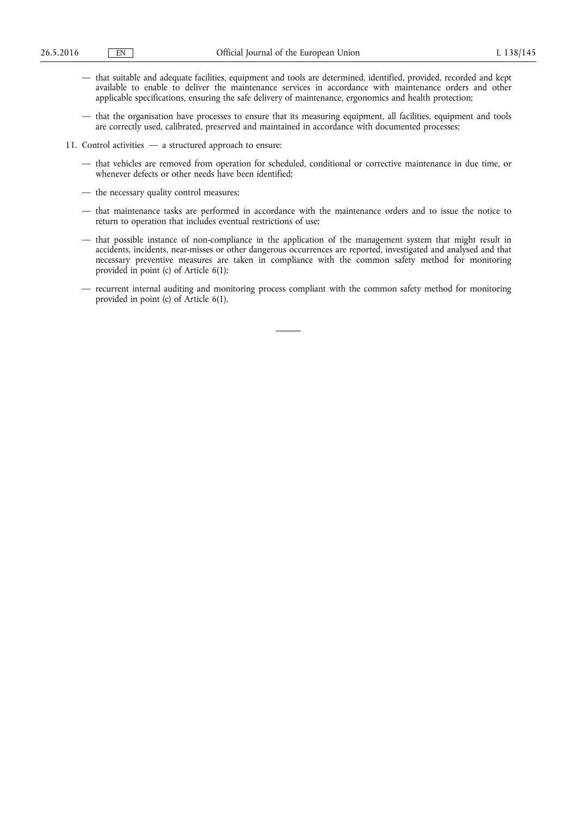- that suitable and adequate facilities, equipment and tools are determined, identified, provided, recorded and kept available to enable to deliver the maintenance services in accordance with maintenance orders and other applicable specifications, ensuring the safe delivery of maintenance, ergonomics and health protection;
- that the organisation have processes to ensure that its measuring equipment, all facilities, equipment and tools are correctly used, calibrated, preserved and maintained in accordance with documented processes;
- 11. Control activities a structured approach to ensure:
	- that vehicles are removed from operation for scheduled, conditional or corrective maintenance in due time, or whenever defects or other needs have been identified;
	- the necessary quality control measures;
	- that maintenance tasks are performed in accordance with the maintenance orders and to issue the notice to return to operation that includes eventual restrictions of use;
	- that possible instance of non-compliance in the application of the management system that might result in accidents, incidents, near-misses or other dangerous occurrences are reported, investigated and analysed and that necessary preventive measures are taken in compliance with the common safety method for monitoring provided in point (c) of Article 6(1);
	- recurrent internal auditing and monitoring process compliant with the common safety method for monitoring provided in point (c) of Article 6(1).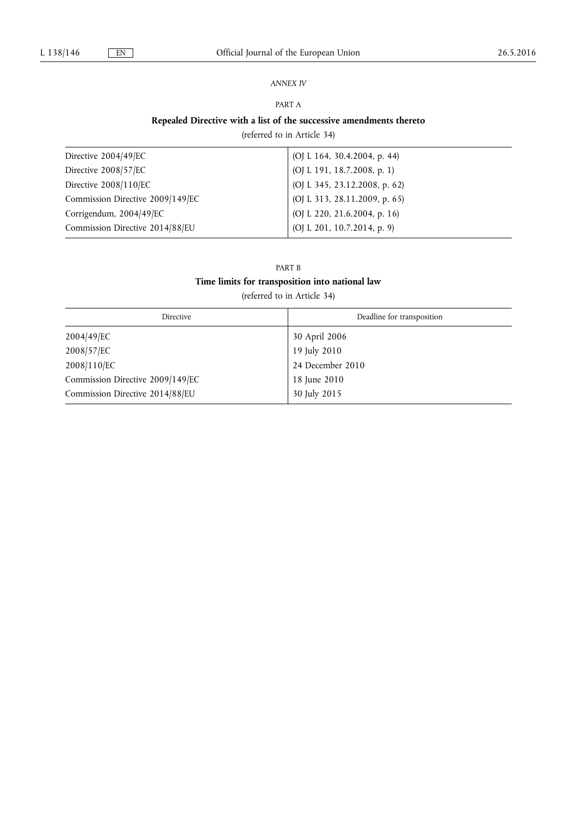# *ANNEX IV*

# PART A

# **Repealed Directive with a list of the successive amendments thereto**

(referred to in Article 34)

| Directive 2004/49/EC             | (OJ L 164, 30.4.2004, p. 44)  |
|----------------------------------|-------------------------------|
| Directive 2008/57/EC             | (OJ L 191, 18.7.2008, p. 1)   |
| Directive 2008/110/EC            | (OJ L 345, 23.12.2008, p. 62) |
| Commission Directive 2009/149/EC | (OJ L 313, 28.11.2009, p. 65) |
| Corrigendum, 2004/49/EC          | (OJ L 220, 21.6.2004, p. 16)  |
| Commission Directive 2014/88/EU  | (OJ L 201, 10.7.2014, p. 9)   |

# PART B **Time limits for transposition into national law**

(referred to in Article 34)

| Directive                        | Deadline for transposition |
|----------------------------------|----------------------------|
| 2004/49/EC                       | 30 April 2006              |
| 2008/57/EC                       | 19 July 2010               |
| 2008/110/EC                      | 24 December 2010           |
| Commission Directive 2009/149/EC | 18 June 2010               |
| Commission Directive 2014/88/EU  | 30 July 2015               |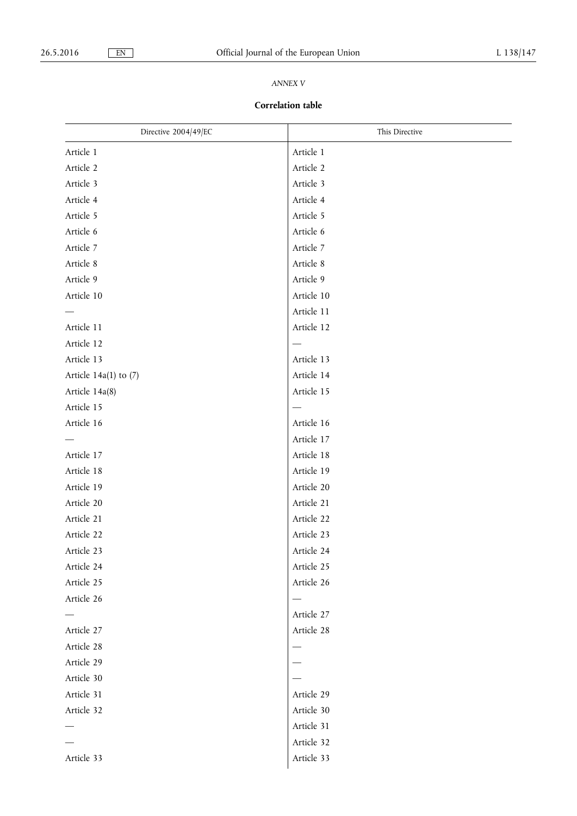# *ANNEX V*

# **Correlation table**

| Directive 2004/49/EC      | This Directive           |
|---------------------------|--------------------------|
| Article 1                 | Article 1                |
| Article 2                 | Article 2                |
| Article 3                 | Article 3                |
| Article 4                 | Article 4                |
| Article 5                 | Article 5                |
| Article 6                 | Article 6                |
| Article 7                 | Article 7                |
| Article 8                 | Article 8                |
| Article 9                 | Article 9                |
| Article 10                | Article 10               |
|                           | Article 11               |
| Article 11                | Article 12               |
| Article 12                | $\overline{\phantom{0}}$ |
| Article 13                | Article 13               |
| Article $14a(1)$ to $(7)$ | Article 14               |
| Article 14a(8)            | Article 15               |
| Article 15                | —                        |
| Article 16                | Article 16               |
|                           | Article 17               |
| Article 17                | Article 18               |
| Article 18                | Article 19               |
| Article 19                | Article 20               |
| Article 20                | Article 21               |
| Article 21                | Article 22               |
| Article 22                | Article 23               |
| Article 23                | Article 24               |
| Article 24                | Article 25               |
| Article 25                | Article 26               |
| Article 26                |                          |
|                           | Article 27               |
| Article 27                | Article 28               |
| Article 28                |                          |
| Article 29                |                          |
| Article 30                |                          |
| Article 31                | Article 29               |
| Article 32                | Article 30               |
|                           | Article 31               |
|                           | Article 32               |
| Article 33                | Article 33               |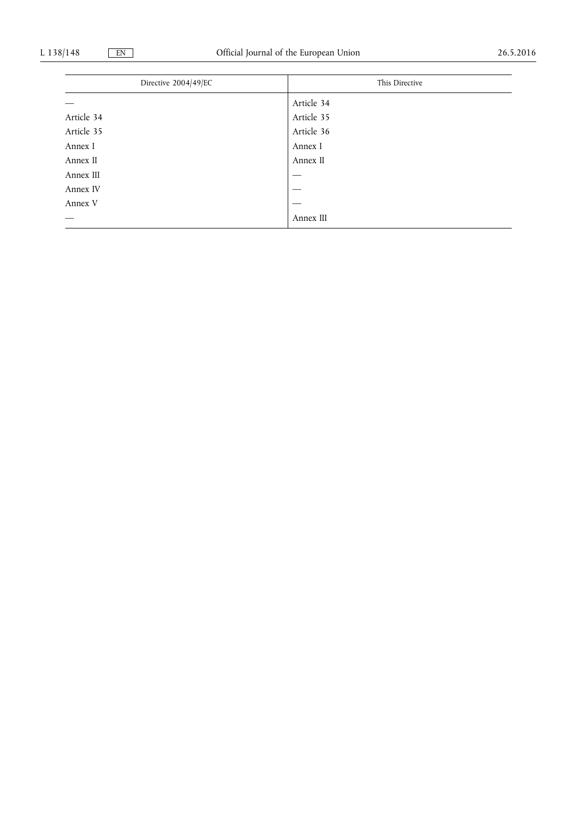| Directive 2004/49/EC | This Directive |  |
|----------------------|----------------|--|
|                      |                |  |
|                      | Article 34     |  |
| Article 34           | Article 35     |  |
| Article 35           | Article 36     |  |
| Annex I              | Annex I        |  |
| Annex II             | Annex II       |  |
| Annex III            |                |  |
| Annex IV             |                |  |
| Annex V              |                |  |
|                      | Annex III      |  |